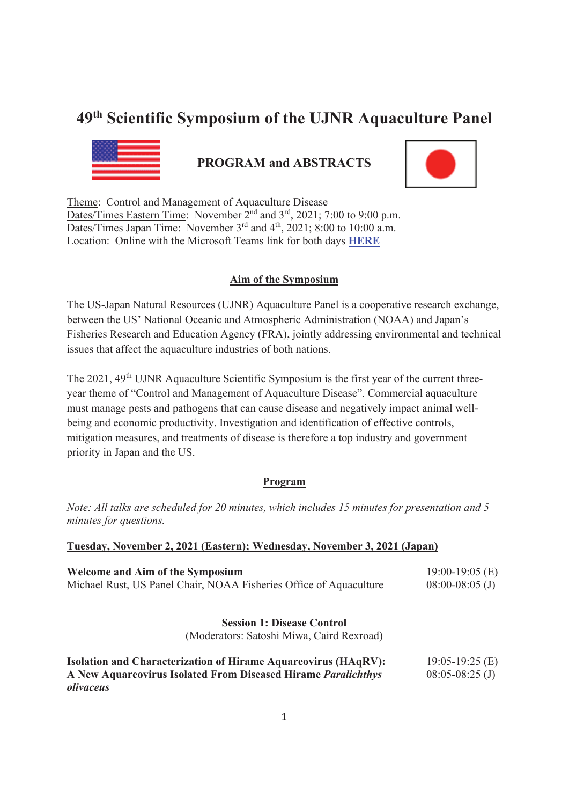# **49th Scientific Symposium of the UJNR Aquaculture Panel**



# **PROGRAM and ABSTRACTS**



Theme: Control and Management of Aquaculture Disease Dates/Times Eastern Time: November 2<sup>nd</sup> and 3<sup>rd</sup>, 2021; 7:00 to 9:00 p.m. Dates/Times Japan Time: November  $3<sup>rd</sup>$  and  $4<sup>th</sup>$ , 2021; 8:00 to 10:00 a.m. Location: Online with the Microsoft Teams link for both days **HERE**

## **Aim of the Symposium**

The US-Japan Natural Resources (UJNR) Aquaculture Panel is a cooperative research exchange, between the US' National Oceanic and Atmospheric Administration (NOAA) and Japan's Fisheries Research and Education Agency (FRA), jointly addressing environmental and technical issues that affect the aquaculture industries of both nations.

The 2021, 49<sup>th</sup> UJNR Aquaculture Scientific Symposium is the first year of the current threeyear theme of "Control and Management of Aquaculture Disease". Commercial aquaculture must manage pests and pathogens that can cause disease and negatively impact animal wellbeing and economic productivity. Investigation and identification of effective controls, mitigation measures, and treatments of disease is therefore a top industry and government priority in Japan and the US.

## **Program**

*Note: All talks are scheduled for 20 minutes, which includes 15 minutes for presentation and 5 minutes for questions.* 

## **Tuesday, November 2, 2021 (Eastern); Wednesday, November 3, 2021 (Japan)**

| <b>Welcome and Aim of the Symposium</b><br>Michael Rust, US Panel Chair, NOAA Fisheries Office of Aquaculture | $19:00-19:05$ (E)<br>$08:00-08:05$ (J) |  |
|---------------------------------------------------------------------------------------------------------------|----------------------------------------|--|
| <b>Session 1: Disease Control</b>                                                                             |                                        |  |
| (Moderators: Satoshi Miwa, Caird Rexroad)                                                                     |                                        |  |
| <b>Isolation and Characterization of Hirame Aquareovirus (HAqRV):</b>                                         | $19:05-19:25(E)$                       |  |
| A New Aquareovirus Isolated From Diseased Hirame Paralichthys<br>olivaceus                                    | $08:05-08:25$ (J)                      |  |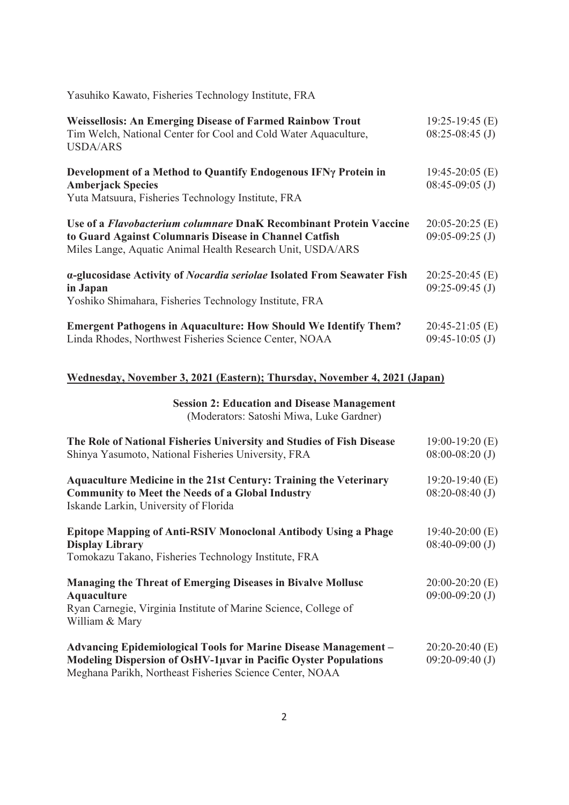Yasuhiko Kawato, Fisheries Technology Institute, FRA

| <b>Weissellosis: An Emerging Disease of Farmed Rainbow Trout</b><br>Tim Welch, National Center for Cool and Cold Water Aquaculture,<br><b>USDA/ARS</b>                                            | $19:25-19:45$ (E)<br>$08:25-08:45$ (J) |
|---------------------------------------------------------------------------------------------------------------------------------------------------------------------------------------------------|----------------------------------------|
| Development of a Method to Quantify Endogenous IFNy Protein in<br><b>Amberjack Species</b><br>Yuta Matsuura, Fisheries Technology Institute, FRA                                                  | $19:45-20:05$ (E)<br>$08:45-09:05$ (J) |
| Use of a <i>Flavobacterium columnare</i> DnaK Recombinant Protein Vaccine<br>to Guard Against Columnaris Disease in Channel Catfish<br>Miles Lange, Aquatic Animal Health Research Unit, USDA/ARS | $20:05-20:25$ (E)<br>$09:05-09:25$ (J) |
| a-glucosidase Activity of <i>Nocardia seriolae</i> Isolated From Seawater Fish<br>in Japan<br>Yoshiko Shimahara, Fisheries Technology Institute, FRA                                              | $20:25-20:45$ (E)<br>$09:25-09:45$ (J) |
| <b>Emergent Pathogens in Aquaculture: How Should We Identify Them?</b><br>Linda Rhodes, Northwest Fisheries Science Center, NOAA                                                                  | $20:45-21:05$ (E)<br>$09:45-10:05$ (J) |

## **Wednesday, November 3, 2021 (Eastern); Thursday, November 4, 2021 (Japan)**

**Session 2: Education and Disease Management**  (Moderators: Satoshi Miwa, Luke Gardner)

| The Role of National Fisheries University and Studies of Fish Disease    | $19:00-19:20(E)$  |
|--------------------------------------------------------------------------|-------------------|
| Shinya Yasumoto, National Fisheries University, FRA                      | $08:00-08:20$ (J) |
| <b>Aquaculture Medicine in the 21st Century: Training the Veterinary</b> | 19:20-19:40 $(E)$ |
| <b>Community to Meet the Needs of a Global Industry</b>                  | $08:20-08:40$ (J) |
| Iskande Larkin, University of Florida                                    |                   |
| Epitope Mapping of Anti-RSIV Monoclonal Antibody Using a Phage           | $19:40-20:00$ (E) |
| <b>Display Library</b>                                                   | $08:40-09:00$ (J) |
| Tomokazu Takano, Fisheries Technology Institute, FRA                     |                   |
| <b>Managing the Threat of Emerging Diseases in Bivalve Mollusc</b>       | $20:00-20:20$ (E) |
| <b>Aquaculture</b>                                                       | $09:00-09:20$ (J) |
| Ryan Carnegie, Virginia Institute of Marine Science, College of          |                   |
| William & Mary                                                           |                   |
| <b>Advancing Epidemiological Tools for Marine Disease Management -</b>   | $20:20-20:40$ (E) |
| <b>Modeling Dispersion of OsHV-1µvar in Pacific Oyster Populations</b>   | $09:20-09:40$ (J) |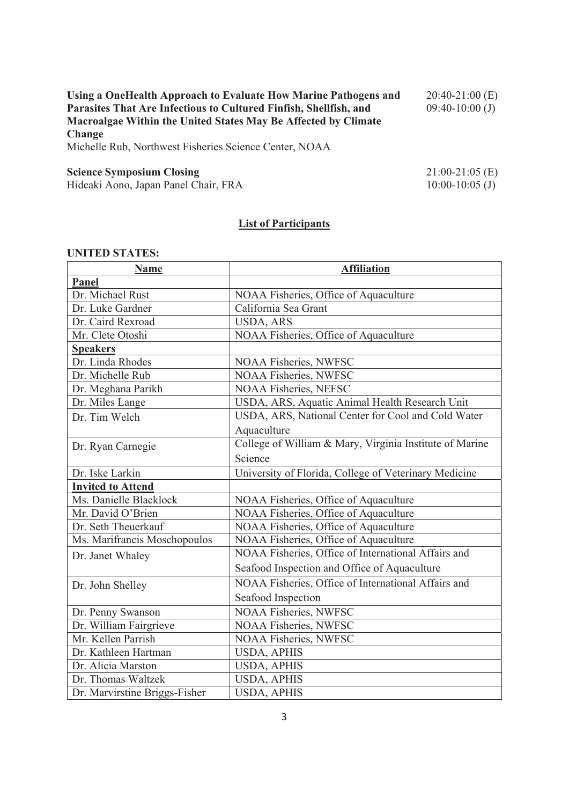| Using a OneHealth Approach to Evaluate How Marine Pathogens and<br>Parasites That Are Infectious to Cultured Finfish, Shellfish, and<br>Macroalgae Within the United States May Be Affected by Climate<br><b>Change</b><br>Michelle Rub, Northwest Fisheries Science Center, NOAA | $20:40-21:00$ (E)<br>$09:40-10:00$ (J) |
|-----------------------------------------------------------------------------------------------------------------------------------------------------------------------------------------------------------------------------------------------------------------------------------|----------------------------------------|
| <b>Science Symposium Closing</b>                                                                                                                                                                                                                                                  | $21:00-21:05$ (E)                      |
| Hideaki Aono, Japan Panel Chair, FRA                                                                                                                                                                                                                                              | $10:00-10:05$ (J)                      |

# **List of Participants**

## **UNITED STATES:**

| <b>Name</b>                   | <b>Affiliation</b>                                      |
|-------------------------------|---------------------------------------------------------|
| Panel                         |                                                         |
| Dr. Michael Rust              | NOAA Fisheries, Office of Aquaculture                   |
| Dr. Luke Gardner              | California Sea Grant                                    |
| Dr. Caird Rexroad             | <b>USDA, ARS</b>                                        |
| Mr. Clete Otoshi              | NOAA Fisheries, Office of Aquaculture                   |
| <b>Speakers</b>               |                                                         |
| Dr. Linda Rhodes              | NOAA Fisheries, NWFSC                                   |
| Dr. Michelle Rub              | <b>NOAA Fisheries, NWFSC</b>                            |
| Dr. Meghana Parikh            | NOAA Fisheries, NEFSC                                   |
| Dr. Miles Lange               | USDA, ARS, Aquatic Animal Health Research Unit          |
| Dr. Tim Welch                 | USDA, ARS, National Center for Cool and Cold Water      |
|                               | Aquaculture                                             |
| Dr. Ryan Carnegie             | College of William & Mary, Virginia Institute of Marine |
|                               | Science                                                 |
| Dr. Iske Larkin               | University of Florida, College of Veterinary Medicine   |
| <b>Invited to Attend</b>      |                                                         |
| Ms. Danielle Blacklock        | NOAA Fisheries, Office of Aquaculture                   |
| Mr. David O'Brien             | NOAA Fisheries, Office of Aquaculture                   |
| Dr. Seth Theuerkauf           | NOAA Fisheries, Office of Aquaculture                   |
| Ms. Marifrancis Moschopoulos  | NOAA Fisheries, Office of Aquaculture                   |
| Dr. Janet Whaley              | NOAA Fisheries, Office of International Affairs and     |
|                               | Seafood Inspection and Office of Aquaculture            |
| Dr. John Shelley              | NOAA Fisheries, Office of International Affairs and     |
|                               | Seafood Inspection                                      |
| Dr. Penny Swanson             | NOAA Fisheries, NWFSC                                   |
| Dr. William Fairgrieve        | <b>NOAA Fisheries, NWFSC</b>                            |
| Mr. Kellen Parrish            | <b>NOAA Fisheries, NWFSC</b>                            |
| Dr. Kathleen Hartman          | <b>USDA, APHIS</b>                                      |
| Dr. Alicia Marston            | <b>USDA, APHIS</b>                                      |
| Dr. Thomas Waltzek            | <b>USDA, APHIS</b>                                      |
| Dr. Marvirstine Briggs-Fisher | <b>USDA, APHIS</b>                                      |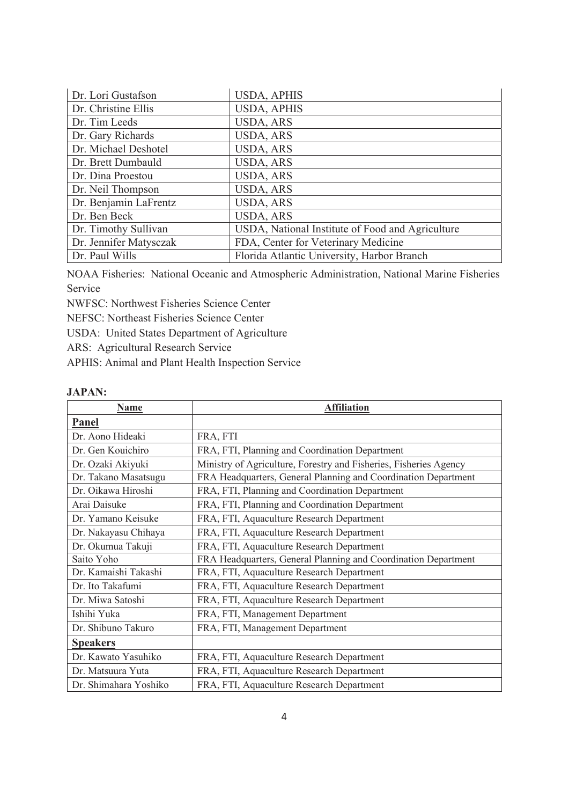| Dr. Lori Gustafson     | <b>USDA, APHIS</b>                               |
|------------------------|--------------------------------------------------|
| Dr. Christine Ellis    | <b>USDA, APHIS</b>                               |
| Dr. Tim Leeds          | <b>USDA, ARS</b>                                 |
| Dr. Gary Richards      | USDA, ARS                                        |
| Dr. Michael Deshotel   | <b>USDA, ARS</b>                                 |
| Dr. Brett Dumbauld     | USDA, ARS                                        |
| Dr. Dina Proestou      | USDA, ARS                                        |
| Dr. Neil Thompson      | <b>USDA, ARS</b>                                 |
| Dr. Benjamin LaFrentz  | <b>USDA, ARS</b>                                 |
| Dr. Ben Beck           | <b>USDA, ARS</b>                                 |
| Dr. Timothy Sullivan   | USDA, National Institute of Food and Agriculture |
| Dr. Jennifer Matysczak | FDA, Center for Veterinary Medicine              |
| Dr. Paul Wills         | Florida Atlantic University, Harbor Branch       |

NOAA Fisheries: National Oceanic and Atmospheric Administration, National Marine Fisheries Service

NWFSC: Northwest Fisheries Science Center

NEFSC: Northeast Fisheries Science Center

USDA: United States Department of Agriculture

ARS: Agricultural Research Service

APHIS: Animal and Plant Health Inspection Service

#### **JAPAN:**

| <b>Name</b>           | <b>Affiliation</b>                                                |
|-----------------------|-------------------------------------------------------------------|
| Panel                 |                                                                   |
| Dr. Aono Hideaki      | FRA, FTI                                                          |
| Dr. Gen Kouichiro     | FRA, FTI, Planning and Coordination Department                    |
| Dr. Ozaki Akiyuki     | Ministry of Agriculture, Forestry and Fisheries, Fisheries Agency |
| Dr. Takano Masatsugu  | FRA Headquarters, General Planning and Coordination Department    |
| Dr. Oikawa Hiroshi    | FRA, FTI, Planning and Coordination Department                    |
| Arai Daisuke          | FRA, FTI, Planning and Coordination Department                    |
| Dr. Yamano Keisuke    | FRA, FTI, Aquaculture Research Department                         |
| Dr. Nakayasu Chihaya  | FRA, FTI, Aquaculture Research Department                         |
| Dr. Okumua Takuji     | FRA, FTI, Aquaculture Research Department                         |
| Saito Yoho            | FRA Headquarters, General Planning and Coordination Department    |
| Dr. Kamaishi Takashi  | FRA, FTI, Aquaculture Research Department                         |
| Dr. Ito Takafumi      | FRA, FTI, Aquaculture Research Department                         |
| Dr. Miwa Satoshi      | FRA, FTI, Aquaculture Research Department                         |
| Ishihi Yuka           | FRA, FTI, Management Department                                   |
| Dr. Shibuno Takuro    | FRA, FTI, Management Department                                   |
| <b>Speakers</b>       |                                                                   |
| Dr. Kawato Yasuhiko   | FRA, FTI, Aquaculture Research Department                         |
| Dr. Matsuura Yuta     | FRA, FTI, Aquaculture Research Department                         |
| Dr. Shimahara Yoshiko | FRA, FTI, Aquaculture Research Department                         |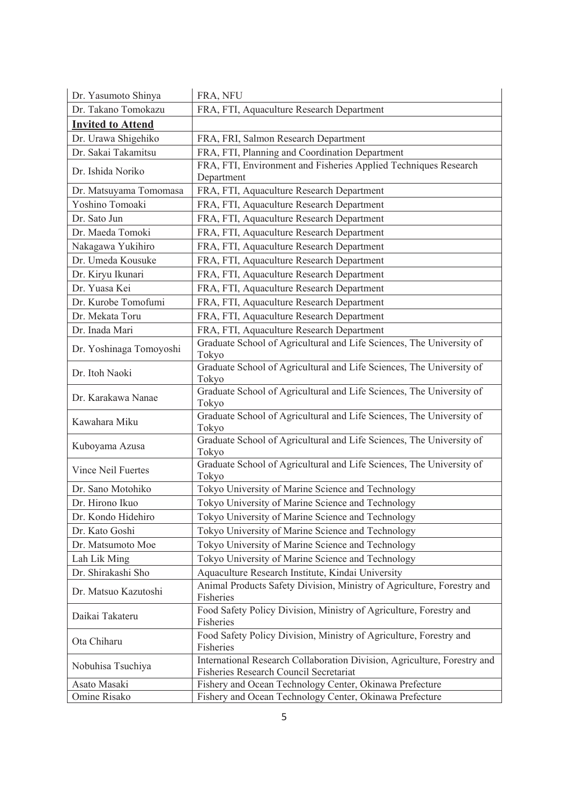| Dr. Yasumoto Shinya      | FRA, NFU                                                                                                           |
|--------------------------|--------------------------------------------------------------------------------------------------------------------|
| Dr. Takano Tomokazu      | FRA, FTI, Aquaculture Research Department                                                                          |
| <b>Invited to Attend</b> |                                                                                                                    |
| Dr. Urawa Shigehiko      | FRA, FRI, Salmon Research Department                                                                               |
| Dr. Sakai Takamitsu      | FRA, FTI, Planning and Coordination Department                                                                     |
| Dr. Ishida Noriko        | FRA, FTI, Environment and Fisheries Applied Techniques Research<br>Department                                      |
| Dr. Matsuyama Tomomasa   | FRA, FTI, Aquaculture Research Department                                                                          |
| Yoshino Tomoaki          | FRA, FTI, Aquaculture Research Department                                                                          |
| Dr. Sato Jun             | FRA, FTI, Aquaculture Research Department                                                                          |
| Dr. Maeda Tomoki         | FRA, FTI, Aquaculture Research Department                                                                          |
| Nakagawa Yukihiro        | FRA, FTI, Aquaculture Research Department                                                                          |
| Dr. Umeda Kousuke        | FRA, FTI, Aquaculture Research Department                                                                          |
| Dr. Kiryu Ikunari        | FRA, FTI, Aquaculture Research Department                                                                          |
| Dr. Yuasa Kei            | FRA, FTI, Aquaculture Research Department                                                                          |
| Dr. Kurobe Tomofumi      | FRA, FTI, Aquaculture Research Department                                                                          |
| Dr. Mekata Toru          | FRA, FTI, Aquaculture Research Department                                                                          |
| Dr. Inada Mari           | FRA, FTI, Aquaculture Research Department                                                                          |
| Dr. Yoshinaga Tomoyoshi  | Graduate School of Agricultural and Life Sciences, The University of<br>Tokyo                                      |
| Dr. Itoh Naoki           | Graduate School of Agricultural and Life Sciences, The University of<br>Tokyo                                      |
| Dr. Karakawa Nanae       | Graduate School of Agricultural and Life Sciences, The University of<br>Tokyo                                      |
| Kawahara Miku            | Graduate School of Agricultural and Life Sciences, The University of<br>Tokyo                                      |
| Kuboyama Azusa           | Graduate School of Agricultural and Life Sciences, The University of<br>Tokyo                                      |
| Vince Neil Fuertes       | Graduate School of Agricultural and Life Sciences, The University of<br>Tokyo                                      |
| Dr. Sano Motohiko        | Tokyo University of Marine Science and Technology                                                                  |
| Dr. Hirono Ikuo          | Tokyo University of Marine Science and Technology                                                                  |
| Dr. Kondo Hidehiro       | Tokyo University of Marine Science and Technology                                                                  |
| Dr. Kato Goshi           | Tokyo University of Marine Science and Technology                                                                  |
| Dr. Matsumoto Moe        | Tokyo University of Marine Science and Technology                                                                  |
| Lah Lik Ming             | Tokyo University of Marine Science and Technology                                                                  |
| Dr. Shirakashi Sho       | Aquaculture Research Institute, Kindai University                                                                  |
| Dr. Matsuo Kazutoshi     | Animal Products Safety Division, Ministry of Agriculture, Forestry and<br>Fisheries                                |
| Daikai Takateru          | Food Safety Policy Division, Ministry of Agriculture, Forestry and<br>Fisheries                                    |
| Ota Chiharu              | Food Safety Policy Division, Ministry of Agriculture, Forestry and<br>Fisheries                                    |
| Nobuhisa Tsuchiya        | International Research Collaboration Division, Agriculture, Forestry and<br>Fisheries Research Council Secretariat |
| Asato Masaki             | Fishery and Ocean Technology Center, Okinawa Prefecture                                                            |
| Omine Risako             | Fishery and Ocean Technology Center, Okinawa Prefecture                                                            |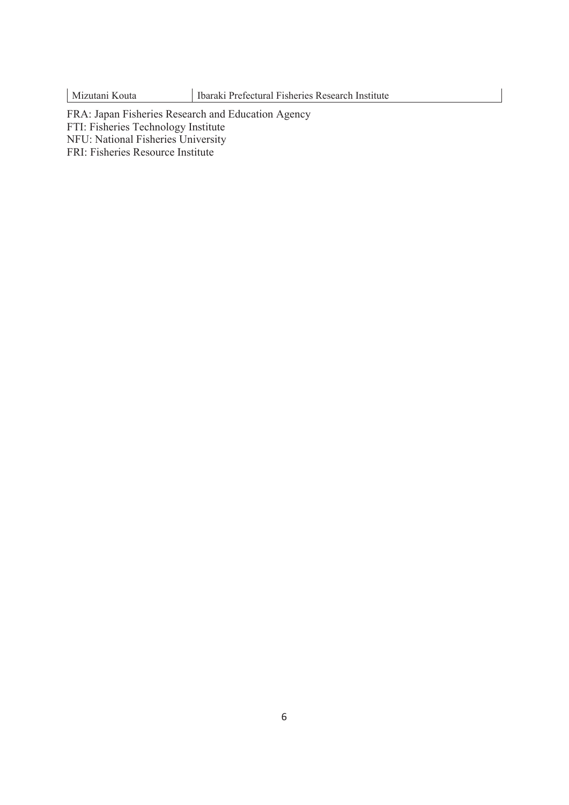FRA: Japan Fisheries Research and Education Agency FTI: Fisheries Technology Institute NFU: National Fisheries University FRI: Fisheries Resource Institute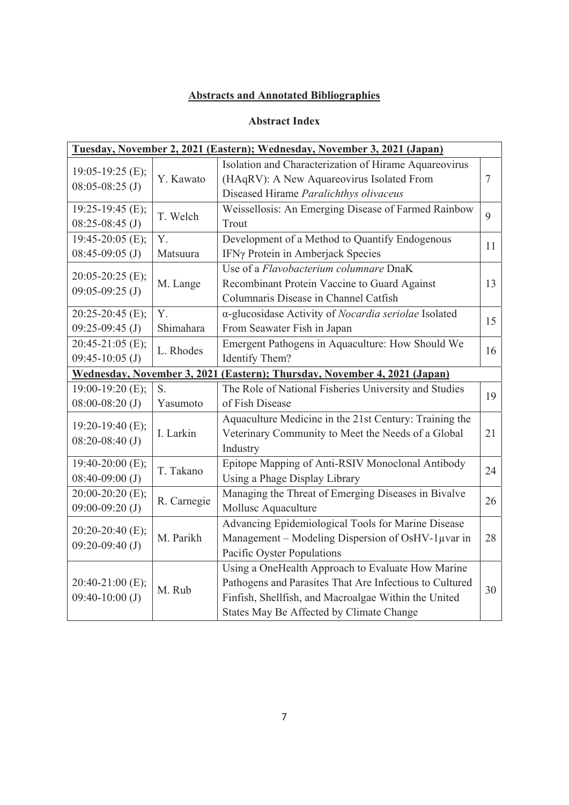# **Abstracts and Annotated Bibliographies**

## **Abstract Index**

| Tuesday, November 2, 2021 (Eastern); Wednesday, November 3, 2021 (Japan) |             |                                                         |        |
|--------------------------------------------------------------------------|-------------|---------------------------------------------------------|--------|
| $19:05-19:25$ (E);                                                       |             | Isolation and Characterization of Hirame Aquareovirus   |        |
| $08:05-08:25$ (J)                                                        | Y. Kawato   | (HAqRV): A New Aquareovirus Isolated From               | $\tau$ |
|                                                                          |             | Diseased Hirame Paralichthys olivaceus                  |        |
| 19:25-19:45 (E);                                                         | T. Welch    | Weissellosis: An Emerging Disease of Farmed Rainbow     | 9      |
| $08:25-08:45$ (J)                                                        |             | Trout                                                   |        |
| $19:45-20:05$ (E);                                                       | Y.          | Development of a Method to Quantify Endogenous          | 11     |
| $08:45-09:05$ (J)                                                        | Matsuura    | IFNy Protein in Amberjack Species                       |        |
| 20:05-20:25 (E);                                                         |             | Use of a Flavobacterium columnare DnaK                  |        |
| $09:05-09:25$ (J)                                                        | M. Lange    | Recombinant Protein Vaccine to Guard Against            | 13     |
|                                                                          |             | Columnaris Disease in Channel Catfish                   |        |
| $20:25-20:45$ (E);                                                       | Y.          | α-glucosidase Activity of Nocardia seriolae Isolated    | 15     |
| $09:25-09:45$ (J)                                                        | Shimahara   | From Seawater Fish in Japan                             |        |
| $20:45-21:05$ (E);                                                       | L. Rhodes   | Emergent Pathogens in Aquaculture: How Should We        | 16     |
| $09:45-10:05$ (J)                                                        |             | Identify Them?                                          |        |
| <b>Wednesday, November 3, 2021</b>                                       |             | (Eastern); Thursday, November 4, 2021 (Japan)           |        |
|                                                                          |             |                                                         |        |
| 19:00-19:20 (E);                                                         | S.          | The Role of National Fisheries University and Studies   |        |
| $08:00-08:20$ (J)                                                        | Yasumoto    | of Fish Disease                                         | 19     |
|                                                                          |             | Aquaculture Medicine in the 21st Century: Training the  |        |
| 19:20-19:40 (E);                                                         | I. Larkin   | Veterinary Community to Meet the Needs of a Global      | 21     |
| $08:20-08:40$ (J)                                                        |             | Industry                                                |        |
| $19:40-20:00$ (E);                                                       |             | Epitope Mapping of Anti-RSIV Monoclonal Antibody        |        |
| $08:40-09:00$ (J)                                                        | T. Takano   | Using a Phage Display Library                           | 24     |
| 20:00-20:20 (E);                                                         |             | Managing the Threat of Emerging Diseases in Bivalve     |        |
| $09:00-09:20$ (J)                                                        | R. Carnegie | Mollusc Aquaculture                                     | 26     |
|                                                                          |             | Advancing Epidemiological Tools for Marine Disease      |        |
| 20:20-20:40 (E);                                                         | M. Parikh   | Management - Modeling Dispersion of OsHV-1µvar in       | 28     |
| $09:20-09:40$ (J)                                                        |             | Pacific Oyster Populations                              |        |
|                                                                          |             | Using a OneHealth Approach to Evaluate How Marine       |        |
| 20:40-21:00 (E);                                                         |             | Pathogens and Parasites That Are Infectious to Cultured |        |
| $09:40-10:00$ (J)                                                        | M. Rub      | Finfish, Shellfish, and Macroalgae Within the United    | 30     |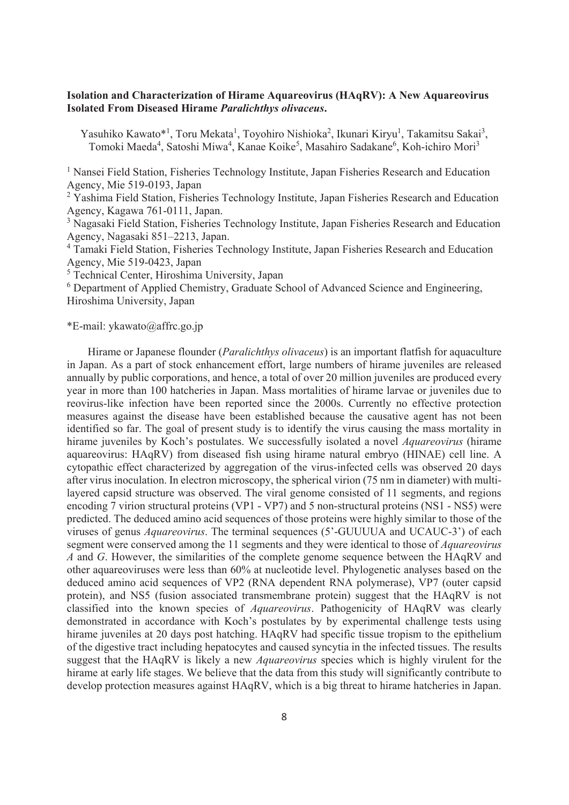## **Isolation and Characterization of Hirame Aquareovirus (HAqRV): A New Aquareovirus Isolated From Diseased Hirame** *Paralichthys olivaceus***.**

Yasuhiko Kawato\*<sup>1</sup>, Toru Mekata<sup>1</sup>, Toyohiro Nishioka<sup>2</sup>, Ikunari Kiryu<sup>1</sup>, Takamitsu Sakai<sup>3</sup>, Tomoki Maeda<sup>4</sup>, Satoshi Miwa<sup>4</sup>, Kanae Koike<sup>5</sup>, Masahiro Sadakane<sup>6</sup>, Koh-ichiro Mori<sup>3</sup>

<sup>1</sup> Nansei Field Station, Fisheries Technology Institute, Japan Fisheries Research and Education Agency, Mie 519-0193, Japan

<sup>2</sup> Yashima Field Station, Fisheries Technology Institute, Japan Fisheries Research and Education Agency, Kagawa 761-0111, Japan.

<sup>3</sup> Nagasaki Field Station, Fisheries Technology Institute, Japan Fisheries Research and Education Agency, Nagasaki 851–2213, Japan.

<sup>4</sup> Tamaki Field Station, Fisheries Technology Institute, Japan Fisheries Research and Education Agency, Mie 519-0423, Japan

5 Technical Center, Hiroshima University, Japan

<sup>6</sup> Department of Applied Chemistry, Graduate School of Advanced Science and Engineering, Hiroshima University, Japan

\*E-mail: ykawato@affrc.go.jp

 Hirame or Japanese flounder (*Paralichthys olivaceus*) is an important flatfish for aquaculture in Japan. As a part of stock enhancement effort, large numbers of hirame juveniles are released annually by public corporations, and hence, a total of over 20 million juveniles are produced every year in more than 100 hatcheries in Japan. Mass mortalities of hirame larvae or juveniles due to reovirus-like infection have been reported since the 2000s. Currently no effective protection measures against the disease have been established because the causative agent has not been identified so far. The goal of present study is to identify the virus causing the mass mortality in hirame juveniles by Koch's postulates. We successfully isolated a novel *Aquareovirus* (hirame aquareovirus: HAqRV) from diseased fish using hirame natural embryo (HINAE) cell line. A cytopathic effect characterized by aggregation of the virus-infected cells was observed 20 days after virus inoculation. In electron microscopy, the spherical virion (75 nm in diameter) with multilayered capsid structure was observed. The viral genome consisted of 11 segments, and regions encoding 7 virion structural proteins (VP1 - VP7) and 5 non-structural proteins (NS1 - NS5) were predicted. The deduced amino acid sequences of those proteins were highly similar to those of the viruses of genus *Aquareovirus*. The terminal sequences (5'-GUUUUA and UCAUC-3') of each segment were conserved among the 11 segments and they were identical to those of *Aquareovirus A* and *G*. However, the similarities of the complete genome sequence between the HAqRV and other aquareoviruses were less than 60% at nucleotide level. Phylogenetic analyses based on the deduced amino acid sequences of VP2 (RNA dependent RNA polymerase), VP7 (outer capsid protein), and NS5 (fusion associated transmembrane protein) suggest that the HAqRV is not classified into the known species of *Aquareovirus*. Pathogenicity of HAqRV was clearly demonstrated in accordance with Koch's postulates by by experimental challenge tests using hirame juveniles at 20 days post hatching. HAqRV had specific tissue tropism to the epithelium of the digestive tract including hepatocytes and caused syncytia in the infected tissues. The results suggest that the HAqRV is likely a new *Aquareovirus* species which is highly virulent for the hirame at early life stages. We believe that the data from this study will significantly contribute to develop protection measures against HAqRV, which is a big threat to hirame hatcheries in Japan.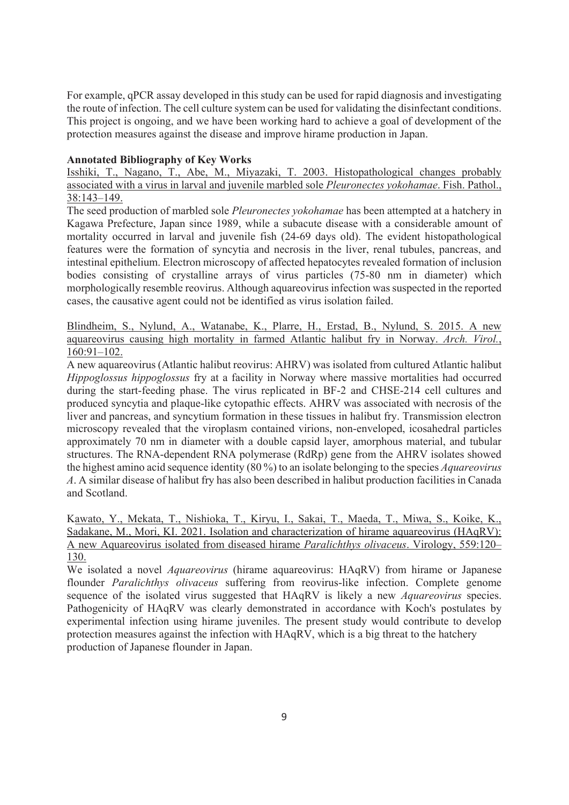For example, qPCR assay developed in this study can be used for rapid diagnosis and investigating the route of infection. The cell culture system can be used for validating the disinfectant conditions. This project is ongoing, and we have been working hard to achieve a goal of development of the protection measures against the disease and improve hirame production in Japan.

## **Annotated Bibliography of Key Works**

Isshiki, T., Nagano, T., Abe, M., Miyazaki, T. 2003. Histopathological changes probably associated with a virus in larval and juvenile marbled sole *Pleuronectes yokohamae*. Fish. Pathol., 38:143–149.

The seed production of marbled sole *Pleuronectes yokohamae* has been attempted at a hatchery in Kagawa Prefecture, Japan since 1989, while a subacute disease with a considerable amount of mortality occurred in larval and juvenile fish (24-69 days old). The evident histopathological features were the formation of syncytia and necrosis in the liver, renal tubules, pancreas, and intestinal epithelium. Electron microscopy of affected hepatocytes revealed formation of inclusion bodies consisting of crystalline arrays of virus particles (75-80 nm in diameter) which morphologically resemble reovirus. Although aquareovirus infection was suspected in the reported cases, the causative agent could not be identified as virus isolation failed.

Blindheim, S., Nylund, A., Watanabe, K., Plarre, H., Erstad, B., Nylund, S. 2015. A new aquareovirus causing high mortality in farmed Atlantic halibut fry in Norway. *Arch. Virol.*, 160:91–102.

A new aquareovirus (Atlantic halibut reovirus: AHRV) was isolated from cultured Atlantic halibut *Hippoglossus hippoglossus* fry at a facility in Norway where massive mortalities had occurred during the start-feeding phase. The virus replicated in BF-2 and CHSE-214 cell cultures and produced syncytia and plaque-like cytopathic effects. AHRV was associated with necrosis of the liver and pancreas, and syncytium formation in these tissues in halibut fry. Transmission electron microscopy revealed that the viroplasm contained virions, non-enveloped, icosahedral particles approximately 70 nm in diameter with a double capsid layer, amorphous material, and tubular structures. The RNA-dependent RNA polymerase (RdRp) gene from the AHRV isolates showed the highest amino acid sequence identity (80 %) to an isolate belonging to the species *Aquareovirus A*. A similar disease of halibut fry has also been described in halibut production facilities in Canada and Scotland.

Kawato, Y., Mekata, T., Nishioka, T., Kiryu, I., Sakai, T., Maeda, T., Miwa, S., Koike, K., Sadakane, M., Mori, KI. 2021. Isolation and characterization of hirame aquareovirus (HAqRV): A new Aquareovirus isolated from diseased hirame *Paralichthys olivaceus*. Virology, 559:120– 130.

We isolated a novel *Aquareovirus* (hirame aquareovirus: HAqRV) from hirame or Japanese flounder *Paralichthys olivaceus* suffering from reovirus-like infection. Complete genome sequence of the isolated virus suggested that HAqRV is likely a new *Aquareovirus* species. Pathogenicity of HAqRV was clearly demonstrated in accordance with Koch's postulates by experimental infection using hirame juveniles. The present study would contribute to develop protection measures against the infection with HAqRV, which is a big threat to the hatchery production of Japanese flounder in Japan.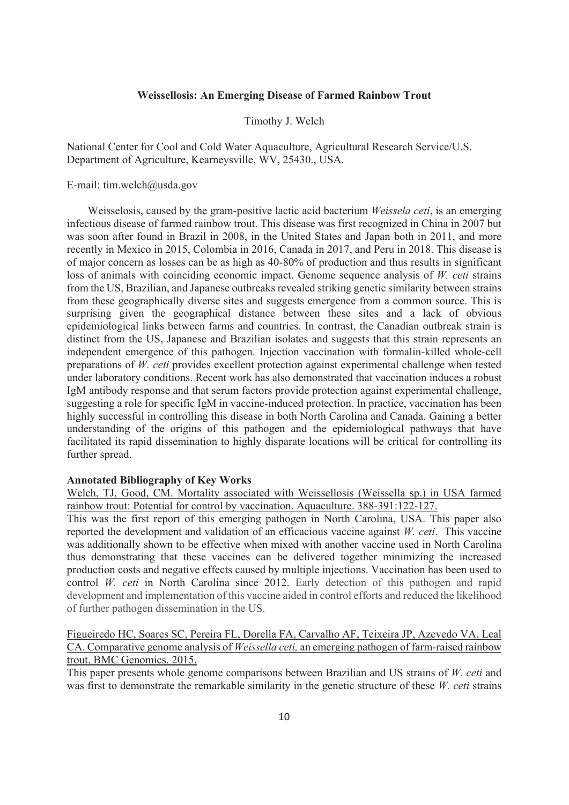## **Weissellosis: An Emerging Disease of Farmed Rainbow Trout**

Timothy J. Welch

National Center for Cool and Cold Water Aquaculture, Agricultural Research Service/U.S. Department of Agriculture, Kearneysville, WV, 25430., USA.

### E-mail: tim.welch@usda.gov

Weisselosis, caused by the gram-positive lactic acid bacterium *Weissela ceti*, is an emerging infectious disease of farmed rainbow trout. This disease was first recognized in China in 2007 but was soon after found in Brazil in 2008, in the United States and Japan both in 2011, and more recently in Mexico in 2015, Colombia in 2016, Canada in 2017, and Peru in 2018. This disease is of major concern as losses can be as high as 40-80% of production and thus results in significant loss of animals with coinciding economic impact. Genome sequence analysis of *W. ceti* strains from the US, Brazilian, and Japanese outbreaks revealed striking genetic similarity between strains from these geographically diverse sites and suggests emergence from a common source. This is surprising given the geographical distance between these sites and a lack of obvious epidemiological links between farms and countries. In contrast, the Canadian outbreak strain is distinct from the US, Japanese and Brazilian isolates and suggests that this strain represents an independent emergence of this pathogen. Injection vaccination with formalin-killed whole-cell preparations of *W. ceti* provides excellent protection against experimental challenge when tested under laboratory conditions. Recent work has also demonstrated that vaccination induces a robust IgM antibody response and that serum factors provide protection against experimental challenge, suggesting a role for specific IgM in vaccine-induced protection. In practice, vaccination has been highly successful in controlling this disease in both North Carolina and Canada. Gaining a better understanding of the origins of this pathogen and the epidemiological pathways that have facilitated its rapid dissemination to highly disparate locations will be critical for controlling its further spread.

#### **Annotated Bibliography of Key Works**

Welch, TJ, Good, CM. Mortality associated with Weissellosis (Weissella sp.) in USA farmed rainbow trout: Potential for control by vaccination. Aquaculture. 388-391:122-127.

This was the first report of this emerging pathogen in North Carolina, USA. This paper also reported the development and validation of an efficacious vaccine against *W. ceti*. This vaccine was additionally shown to be effective when mixed with another vaccine used in North Carolina thus demonstrating that these vaccines can be delivered together minimizing the increased production costs and negative effects caused by multiple injections. Vaccination has been used to control *W. ceti* in North Carolina since 2012. Early detection of this pathogen and rapid development and implementation of this vaccine aided in control efforts and reduced the likelihood of further pathogen dissemination in the US.

## Figueiredo HC, Soares SC, Pereira FL, Dorella FA, Carvalho AF, Teixeira JP, Azevedo VA, Leal CA. Comparative genome analysis of *Weissella ceti,* an emerging pathogen of farm-raised rainbow trout. BMC Genomics. 2015.

This paper presents whole genome comparisons between Brazilian and US strains of *W. ceti* and was first to demonstrate the remarkable similarity in the genetic structure of these *W. ceti* strains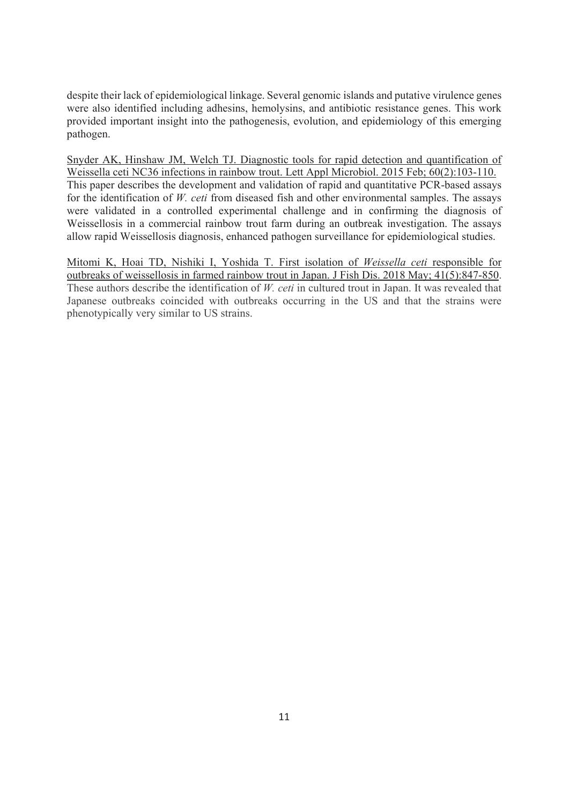despite their lack of epidemiological linkage. Several genomic islands and putative virulence genes were also identified including adhesins, hemolysins, and antibiotic resistance genes. This work provided important insight into the pathogenesis, evolution, and epidemiology of this emerging pathogen.

Snyder AK, Hinshaw JM, Welch TJ. Diagnostic tools for rapid detection and quantification of Weissella ceti NC36 infections in rainbow trout. Lett Appl Microbiol. 2015 Feb; 60(2):103-110. This paper describes the development and validation of rapid and quantitative PCR-based assays for the identification of *W. ceti* from diseased fish and other environmental samples. The assays were validated in a controlled experimental challenge and in confirming the diagnosis of Weissellosis in a commercial rainbow trout farm during an outbreak investigation. The assays allow rapid Weissellosis diagnosis, enhanced pathogen surveillance for epidemiological studies.

Mitomi K, Hoai TD, Nishiki I, Yoshida T. First isolation of *Weissella ceti* responsible for outbreaks of weissellosis in farmed rainbow trout in Japan. J Fish Dis. 2018 May; 41(5):847-850. These authors describe the identification of *W. ceti* in cultured trout in Japan. It was revealed that Japanese outbreaks coincided with outbreaks occurring in the US and that the strains were phenotypically very similar to US strains.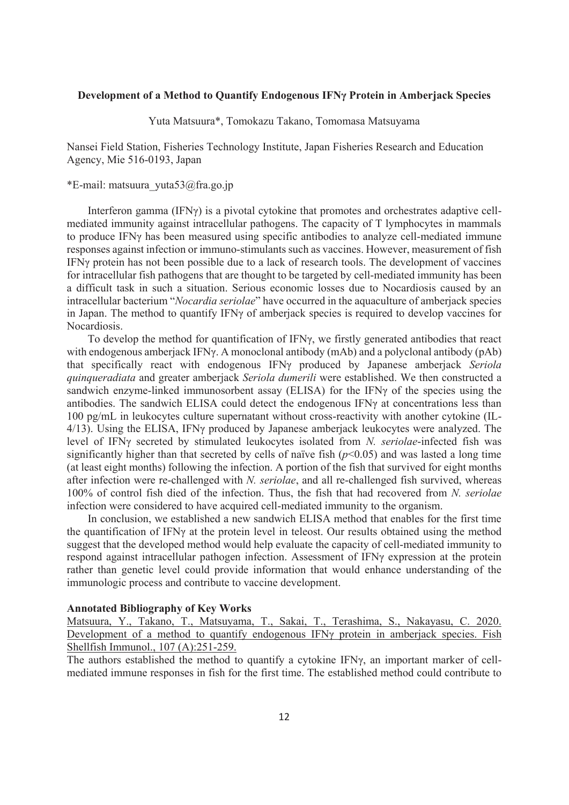## **Development of a Method to Quantify Endogenous IFNγ Protein in Amberjack Species**

Yuta Matsuura\*, Tomokazu Takano, Tomomasa Matsuyama

Nansei Field Station, Fisheries Technology Institute, Japan Fisheries Research and Education Agency, Mie 516-0193, Japan

\*E-mail: matsuura\_yuta53@fra.go.jp

Interferon gamma (IFNγ) is a pivotal cytokine that promotes and orchestrates adaptive cellmediated immunity against intracellular pathogens. The capacity of T lymphocytes in mammals to produce IFNγ has been measured using specific antibodies to analyze cell-mediated immune responses against infection or immuno-stimulants such as vaccines. However, measurement of fish IFNγ protein has not been possible due to a lack of research tools. The development of vaccines for intracellular fish pathogens that are thought to be targeted by cell-mediated immunity has been a difficult task in such a situation. Serious economic losses due to Nocardiosis caused by an intracellular bacterium "*Nocardia seriolae*" have occurred in the aquaculture of amberjack species in Japan. The method to quantify IFNγ of amberjack species is required to develop vaccines for Nocardiosis.

To develop the method for quantification of IFNγ, we firstly generated antibodies that react with endogenous amberjack IFNγ. A monoclonal antibody (mAb) and a polyclonal antibody (pAb) that specifically react with endogenous IFNγ produced by Japanese amberjack *Seriola quinqueradiata* and greater amberjack *Seriola dumerili* were established. We then constructed a sandwich enzyme-linked immunosorbent assay (ELISA) for the IFNγ of the species using the antibodies. The sandwich ELISA could detect the endogenous IFNγ at concentrations less than 100 pg/mL in leukocytes culture supernatant without cross-reactivity with another cytokine (IL-4/13). Using the ELISA, IFNγ produced by Japanese amberjack leukocytes were analyzed. The level of IFNγ secreted by stimulated leukocytes isolated from *N. seriolae*-infected fish was significantly higher than that secreted by cells of naïve fish  $(p<0.05)$  and was lasted a long time (at least eight months) following the infection. A portion of the fish that survived for eight months after infection were re-challenged with *N. seriolae*, and all re-challenged fish survived, whereas 100% of control fish died of the infection. Thus, the fish that had recovered from *N. seriolae* infection were considered to have acquired cell-mediated immunity to the organism.

In conclusion, we established a new sandwich ELISA method that enables for the first time the quantification of IFNγ at the protein level in teleost. Our results obtained using the method suggest that the developed method would help evaluate the capacity of cell-mediated immunity to respond against intracellular pathogen infection. Assessment of IFNγ expression at the protein rather than genetic level could provide information that would enhance understanding of the immunologic process and contribute to vaccine development.

#### **Annotated Bibliography of Key Works**

Matsuura, Y., Takano, T., Matsuyama, T., Sakai, T., Terashima, S., Nakayasu, C. 2020. Development of a method to quantify endogenous IFN<sub>γ</sub> protein in amberjack species. Fish Shellfish Immunol., 107 (A):251-259.

The authors established the method to quantify a cytokine IFNγ, an important marker of cellmediated immune responses in fish for the first time. The established method could contribute to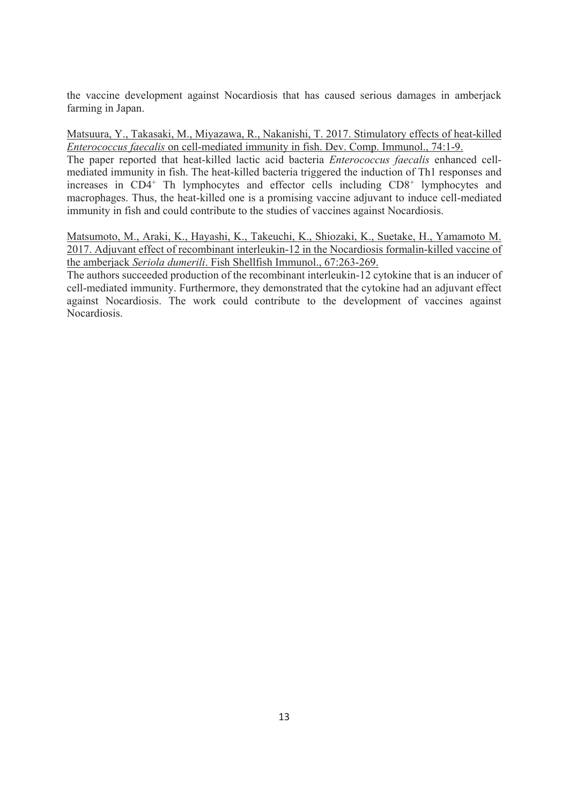the vaccine development against Nocardiosis that has caused serious damages in amberjack farming in Japan.

Matsuura, Y., Takasaki, M., Miyazawa, R., Nakanishi, T. 2017. Stimulatory effects of heat-killed *Enterococcus faecalis* on cell-mediated immunity in fish. Dev. Comp. Immunol., 74:1-9.

The paper reported that heat-killed lactic acid bacteria *Enterococcus faecalis* enhanced cellmediated immunity in fish. The heat-killed bacteria triggered the induction of Th1 responses and increases in  $CD4^+$  Th lymphocytes and effector cells including  $CD8^+$  lymphocytes and macrophages. Thus, the heat-killed one is a promising vaccine adjuvant to induce cell-mediated immunity in fish and could contribute to the studies of vaccines against Nocardiosis.

Matsumoto, M., Araki, K., Hayashi, K., Takeuchi, K., Shiozaki, K., Suetake, H., Yamamoto M. 2017. Adjuvant effect of recombinant interleukin-12 in the Nocardiosis formalin-killed vaccine of the amberjack *Seriola dumerili*. Fish Shellfish Immunol., 67:263-269.

The authors succeeded production of the recombinant interleukin-12 cytokine that is an inducer of cell-mediated immunity. Furthermore, they demonstrated that the cytokine had an adjuvant effect against Nocardiosis. The work could contribute to the development of vaccines against Nocardiosis.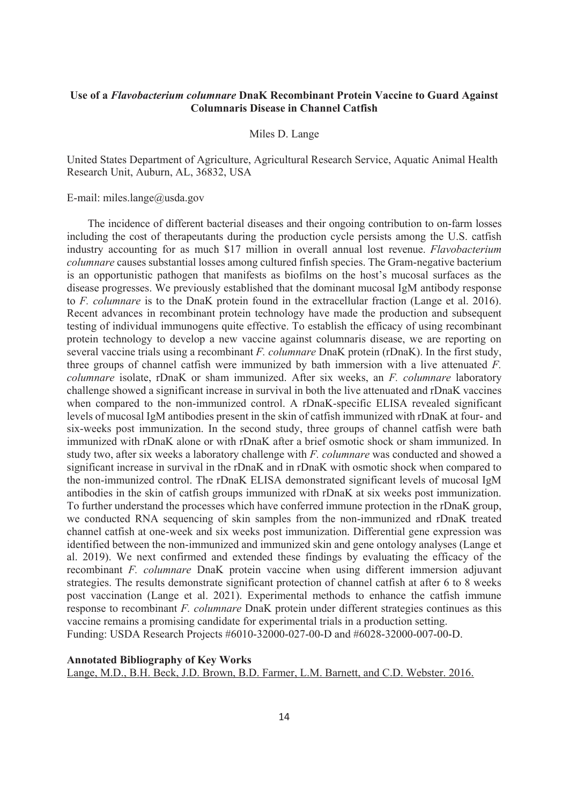## **Use of a** *Flavobacterium columnare* **DnaK Recombinant Protein Vaccine to Guard Against Columnaris Disease in Channel Catfish**

Miles D. Lange

United States Department of Agriculture, Agricultural Research Service, Aquatic Animal Health Research Unit, Auburn, AL, 36832, USA

E-mail: miles.lange@usda.gov

The incidence of different bacterial diseases and their ongoing contribution to on-farm losses including the cost of therapeutants during the production cycle persists among the U.S. catfish industry accounting for as much \$17 million in overall annual lost revenue. *Flavobacterium columnare* causes substantial losses among cultured finfish species. The Gram-negative bacterium is an opportunistic pathogen that manifests as biofilms on the host's mucosal surfaces as the disease progresses. We previously established that the dominant mucosal IgM antibody response to *F. columnare* is to the DnaK protein found in the extracellular fraction (Lange et al. 2016). Recent advances in recombinant protein technology have made the production and subsequent testing of individual immunogens quite effective. To establish the efficacy of using recombinant protein technology to develop a new vaccine against columnaris disease, we are reporting on several vaccine trials using a recombinant *F. columnare* DnaK protein (rDnaK). In the first study, three groups of channel catfish were immunized by bath immersion with a live attenuated *F. columnare* isolate, rDnaK or sham immunized. After six weeks, an *F. columnare* laboratory challenge showed a significant increase in survival in both the live attenuated and rDnaK vaccines when compared to the non-immunized control. A rDnaK-specific ELISA revealed significant levels of mucosal IgM antibodies present in the skin of catfish immunized with rDnaK at four- and six-weeks post immunization. In the second study, three groups of channel catfish were bath immunized with rDnaK alone or with rDnaK after a brief osmotic shock or sham immunized. In study two, after six weeks a laboratory challenge with *F. columnare* was conducted and showed a significant increase in survival in the rDnaK and in rDnaK with osmotic shock when compared to the non-immunized control. The rDnaK ELISA demonstrated significant levels of mucosal IgM antibodies in the skin of catfish groups immunized with rDnaK at six weeks post immunization. To further understand the processes which have conferred immune protection in the rDnaK group, we conducted RNA sequencing of skin samples from the non-immunized and rDnaK treated channel catfish at one-week and six weeks post immunization. Differential gene expression was identified between the non-immunized and immunized skin and gene ontology analyses (Lange et al. 2019). We next confirmed and extended these findings by evaluating the efficacy of the recombinant *F. columnare* DnaK protein vaccine when using different immersion adjuvant strategies. The results demonstrate significant protection of channel catfish at after 6 to 8 weeks post vaccination (Lange et al. 2021). Experimental methods to enhance the catfish immune response to recombinant *F. columnare* DnaK protein under different strategies continues as this vaccine remains a promising candidate for experimental trials in a production setting. Funding: USDA Research Projects #6010-32000-027-00-D and #6028-32000-007-00-D.

## **Annotated Bibliography of Key Works**  Lange, M.D., B.H. Beck, J.D. Brown, B.D. Farmer, L.M. Barnett, and C.D. Webster. 2016.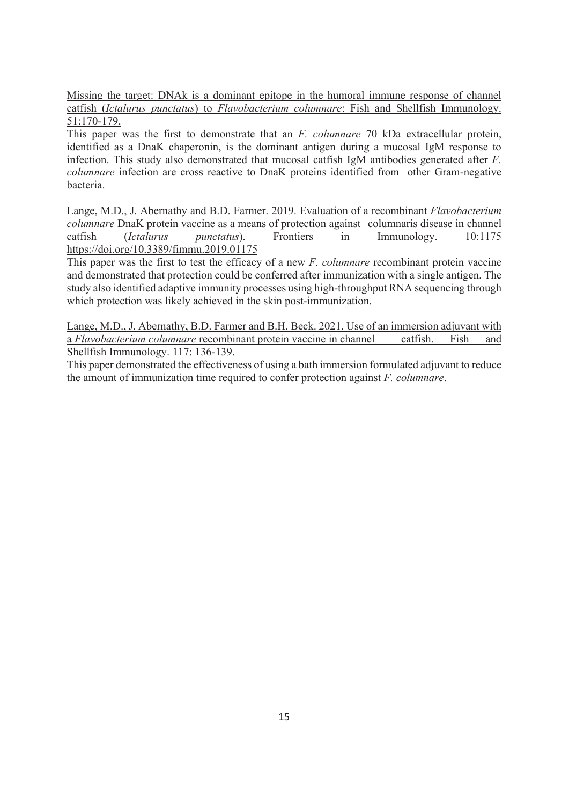Missing the target: DNAk is a dominant epitope in the humoral immune response of channel catfish (*Ictalurus punctatus*) to *Flavobacterium columnare*: Fish and Shellfish Immunology. 51:170-179.

This paper was the first to demonstrate that an *F. columnare* 70 kDa extracellular protein, identified as a DnaK chaperonin, is the dominant antigen during a mucosal IgM response to infection. This study also demonstrated that mucosal catfish IgM antibodies generated after *F. columnare* infection are cross reactive to DnaK proteins identified from other Gram-negative bacteria.

Lange, M.D., J. Abernathy and B.D. Farmer. 2019. Evaluation of a recombinant *Flavobacterium columnare* DnaK protein vaccine as a means of protection against columnaris disease in channel catfish (*Ictalurus punctatus*). Frontiers in Immunology. 10:1175 https://doi.org/10.3389/fimmu.2019.01175

This paper was the first to test the efficacy of a new *F. columnare* recombinant protein vaccine and demonstrated that protection could be conferred after immunization with a single antigen. The study also identified adaptive immunity processes using high-throughput RNA sequencing through which protection was likely achieved in the skin post-immunization.

Lange, M.D., J. Abernathy, B.D. Farmer and B.H. Beck. 2021. Use of an immersion adjuvant with a *Flavobacterium columnare* recombinant protein vaccine in channel catfish. Fish and Shellfish Immunology. 117: 136-139.

This paper demonstrated the effectiveness of using a bath immersion formulated adjuvant to reduce the amount of immunization time required to confer protection against *F. columnare*.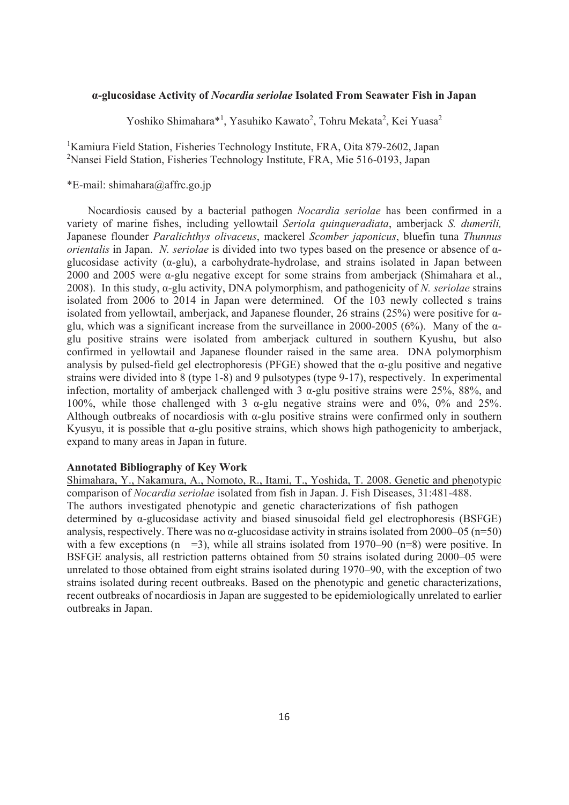## **α-glucosidase Activity of** *Nocardia seriolae* **Isolated From Seawater Fish in Japan**

Yoshiko Shimahara\*<sup>1</sup>, Yasuhiko Kawato<sup>2</sup>, Tohru Mekata<sup>2</sup>, Kei Yuasa<sup>2</sup>

<sup>1</sup>Kamiura Field Station, Fisheries Technology Institute, FRA, Oita 879-2602, Japan 2 Nansei Field Station, Fisheries Technology Institute, FRA, Mie 516-0193, Japan

## \*E-mail: shimahara@affrc.go.jp

Nocardiosis caused by a bacterial pathogen *Nocardia seriolae* has been confirmed in a variety of marine fishes, including yellowtail *Seriola quinqueradiata*, amberjack *S. dumerili,* Japanese flounder *Paralichthys olivaceus*, mackerel *Scomber japonicus*, bluefin tuna *Thunnus orientalis* in Japan. *N. seriolae* is divided into two types based on the presence or absence of αglucosidase activity (α-glu), a carbohydrate-hydrolase, and strains isolated in Japan between 2000 and 2005 were α-glu negative except for some strains from amberjack (Shimahara et al., 2008). In this study, α-glu activity, DNA polymorphism, and pathogenicity of *N. seriolae* strains isolated from 2006 to 2014 in Japan were determined. Of the 103 newly collected s trains isolated from vellowtail, amberjack, and Japanese flounder, 26 strains (25%) were positive for  $\alpha$ glu, which was a significant increase from the surveillance in 2000-2005 (6%). Many of the  $\alpha$ glu positive strains were isolated from amberjack cultured in southern Kyushu, but also confirmed in vellowtail and Japanese flounder raised in the same area. DNA polymorphism analysis by pulsed-field gel electrophoresis (PFGE) showed that the  $\alpha$ -glu positive and negative strains were divided into 8 (type 1-8) and 9 pulsotypes (type 9-17), respectively. In experimental infection, mortality of amberjack challenged with 3 α-glu positive strains were 25%, 88%, and 100%, while those challenged with 3 α-glu negative strains were and 0%, 0% and 25%. Although outbreaks of nocardiosis with  $\alpha$ -glu positive strains were confirmed only in southern Kyusyu, it is possible that α-glu positive strains, which shows high pathogenicity to amberjack, expand to many areas in Japan in future.

#### **Annotated Bibliography of Key Work**

Shimahara, Y., Nakamura, A., Nomoto, R., Itami, T., Yoshida, T. 2008. Genetic and phenotypic comparison of *Nocardia seriolae* isolated from fish in Japan. J. Fish Diseases, 31:481-488. The authors investigated phenotypic and genetic characterizations of fish pathogen determined by α-glucosidase activity and biased sinusoidal field gel electrophoresis (BSFGE) analysis, respectively. There was no  $\alpha$ -glucosidase activity in strains isolated from 2000–05 (n=50) with a few exceptions  $(n = 3)$ , while all strains isolated from 1970–90  $(n=8)$  were positive. In BSFGE analysis, all restriction patterns obtained from 50 strains isolated during 2000–05 were unrelated to those obtained from eight strains isolated during 1970–90, with the exception of two strains isolated during recent outbreaks. Based on the phenotypic and genetic characterizations, recent outbreaks of nocardiosis in Japan are suggested to be epidemiologically unrelated to earlier outbreaks in Japan.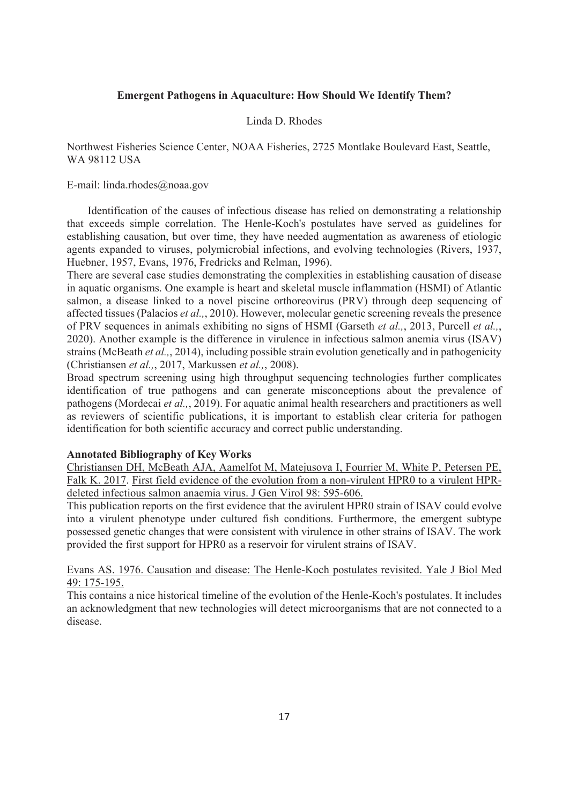## **Emergent Pathogens in Aquaculture: How Should We Identify Them?**

#### Linda D. Rhodes

## Northwest Fisheries Science Center, NOAA Fisheries, 2725 Montlake Boulevard East, Seattle, WA 98112 USA

## E-mail: linda.rhodes@noaa.gov

Identification of the causes of infectious disease has relied on demonstrating a relationship that exceeds simple correlation. The Henle-Koch's postulates have served as guidelines for establishing causation, but over time, they have needed augmentation as awareness of etiologic agents expanded to viruses, polymicrobial infections, and evolving technologies (Rivers, 1937, Huebner, 1957, Evans, 1976, Fredricks and Relman, 1996).

There are several case studies demonstrating the complexities in establishing causation of disease in aquatic organisms. One example is heart and skeletal muscle inflammation (HSMI) of Atlantic salmon, a disease linked to a novel piscine orthoreovirus (PRV) through deep sequencing of affected tissues (Palacios *et al.,*, 2010). However, molecular genetic screening reveals the presence of PRV sequences in animals exhibiting no signs of HSMI (Garseth *et al.,*, 2013, Purcell *et al.,*, 2020). Another example is the difference in virulence in infectious salmon anemia virus (ISAV) strains (McBeath *et al.,*, 2014), including possible strain evolution genetically and in pathogenicity (Christiansen *et al.,*, 2017, Markussen *et al.,*, 2008).

Broad spectrum screening using high throughput sequencing technologies further complicates identification of true pathogens and can generate misconceptions about the prevalence of pathogens (Mordecai *et al.,*, 2019). For aquatic animal health researchers and practitioners as well as reviewers of scientific publications, it is important to establish clear criteria for pathogen identification for both scientific accuracy and correct public understanding.

#### **Annotated Bibliography of Key Works**

Christiansen DH, McBeath AJA, Aamelfot M, Matejusova I, Fourrier M, White P, Petersen PE, Falk K. 2017. First field evidence of the evolution from a non-virulent HPR0 to a virulent HPRdeleted infectious salmon anaemia virus. J Gen Virol 98: 595-606.

This publication reports on the first evidence that the avirulent HPR0 strain of ISAV could evolve into a virulent phenotype under cultured fish conditions. Furthermore, the emergent subtype possessed genetic changes that were consistent with virulence in other strains of ISAV. The work provided the first support for HPR0 as a reservoir for virulent strains of ISAV.

## Evans AS. 1976. Causation and disease: The Henle-Koch postulates revisited. Yale J Biol Med 49: 175-195.

This contains a nice historical timeline of the evolution of the Henle-Koch's postulates. It includes an acknowledgment that new technologies will detect microorganisms that are not connected to a disease.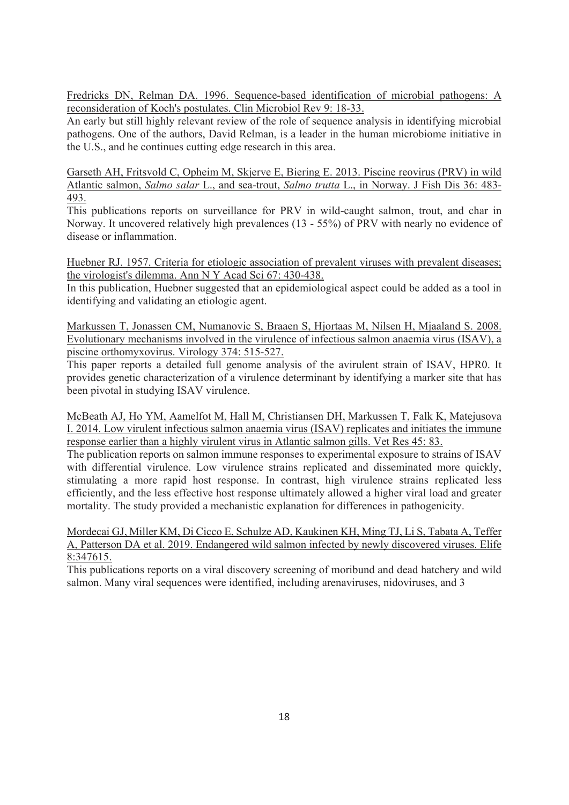Fredricks DN, Relman DA. 1996. Sequence-based identification of microbial pathogens: A reconsideration of Koch's postulates. Clin Microbiol Rev 9: 18-33.

An early but still highly relevant review of the role of sequence analysis in identifying microbial pathogens. One of the authors, David Relman, is a leader in the human microbiome initiative in the U.S., and he continues cutting edge research in this area.

Garseth AH, Fritsvold C, Opheim M, Skjerve E, Biering E. 2013. Piscine reovirus (PRV) in wild Atlantic salmon, *Salmo salar* L., and sea-trout, *Salmo trutta* L., in Norway. J Fish Dis 36: 483- 493.

This publications reports on surveillance for PRV in wild-caught salmon, trout, and char in Norway. It uncovered relatively high prevalences (13 - 55%) of PRV with nearly no evidence of disease or inflammation.

Huebner RJ. 1957. Criteria for etiologic association of prevalent viruses with prevalent diseases; the virologist's dilemma. Ann N Y Acad Sci 67: 430-438.

In this publication, Huebner suggested that an epidemiological aspect could be added as a tool in identifying and validating an etiologic agent.

Markussen T, Jonassen CM, Numanovic S, Braaen S, Hjortaas M, Nilsen H, Mjaaland S. 2008. Evolutionary mechanisms involved in the virulence of infectious salmon anaemia virus (ISAV), a piscine orthomyxovirus. Virology 374: 515-527.

This paper reports a detailed full genome analysis of the avirulent strain of ISAV, HPR0. It provides genetic characterization of a virulence determinant by identifying a marker site that has been pivotal in studying ISAV virulence.

McBeath AJ, Ho YM, Aamelfot M, Hall M, Christiansen DH, Markussen T, Falk K, Matejusova I. 2014. Low virulent infectious salmon anaemia virus (ISAV) replicates and initiates the immune response earlier than a highly virulent virus in Atlantic salmon gills. Vet Res 45: 83.

The publication reports on salmon immune responses to experimental exposure to strains of ISAV with differential virulence. Low virulence strains replicated and disseminated more quickly, stimulating a more rapid host response. In contrast, high virulence strains replicated less efficiently, and the less effective host response ultimately allowed a higher viral load and greater mortality. The study provided a mechanistic explanation for differences in pathogenicity.

Mordecai GJ, Miller KM, Di Cicco E, Schulze AD, Kaukinen KH, Ming TJ, Li S, Tabata A, Teffer A, Patterson DA et al. 2019. Endangered wild salmon infected by newly discovered viruses. Elife 8:347615.

This publications reports on a viral discovery screening of moribund and dead hatchery and wild salmon. Many viral sequences were identified, including arenaviruses, nidoviruses, and 3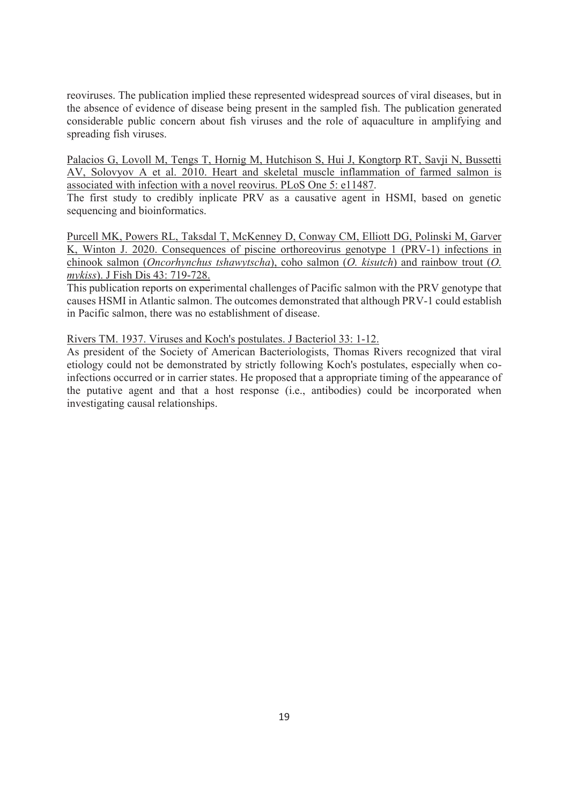reoviruses. The publication implied these represented widespread sources of viral diseases, but in the absence of evidence of disease being present in the sampled fish. The publication generated considerable public concern about fish viruses and the role of aquaculture in amplifying and spreading fish viruses.

Palacios G, Lovoll M, Tengs T, Hornig M, Hutchison S, Hui J, Kongtorp RT, Savji N, Bussetti AV, Solovyov A et al. 2010. Heart and skeletal muscle inflammation of farmed salmon is associated with infection with a novel reovirus. PLoS One 5: e11487.

The first study to credibly inplicate PRV as a causative agent in HSMI, based on genetic sequencing and bioinformatics.

Purcell MK, Powers RL, Taksdal T, McKenney D, Conway CM, Elliott DG, Polinski M, Garver K, Winton J. 2020. Consequences of piscine orthoreovirus genotype 1 (PRV-1) infections in chinook salmon (*Oncorhynchus tshawytscha*), coho salmon (*O. kisutch*) and rainbow trout (*O. mykiss*). J Fish Dis 43: 719-728.

This publication reports on experimental challenges of Pacific salmon with the PRV genotype that causes HSMI in Atlantic salmon. The outcomes demonstrated that although PRV-1 could establish in Pacific salmon, there was no establishment of disease.

Rivers TM. 1937. Viruses and Koch's postulates. J Bacteriol 33: 1-12.

As president of the Society of American Bacteriologists, Thomas Rivers recognized that viral etiology could not be demonstrated by strictly following Koch's postulates, especially when coinfections occurred or in carrier states. He proposed that a appropriate timing of the appearance of the putative agent and that a host response (i.e., antibodies) could be incorporated when investigating causal relationships.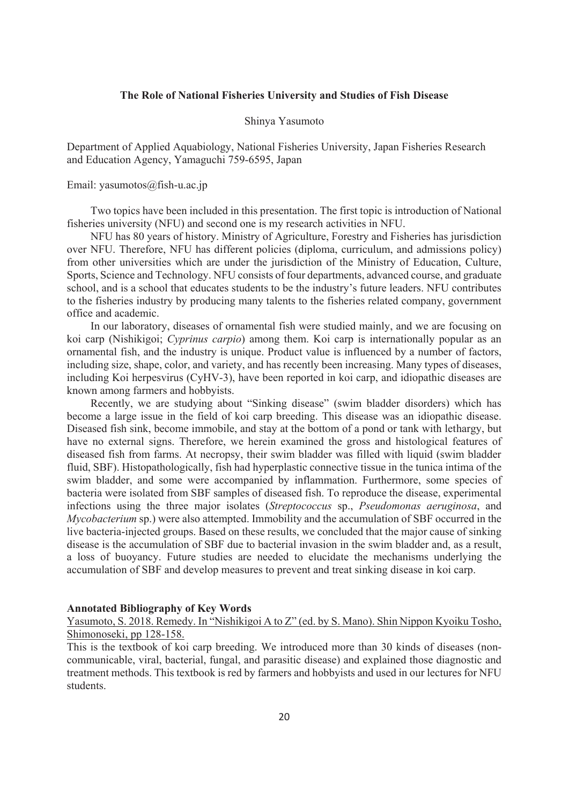#### **The Role of National Fisheries University and Studies of Fish Disease**

#### Shinya Yasumoto

Department of Applied Aquabiology, National Fisheries University, Japan Fisheries Research and Education Agency, Yamaguchi 759-6595, Japan

#### Email: yasumotos@fish-u.ac.jp

 Two topics have been included in this presentation. The first topic is introduction of National fisheries university (NFU) and second one is my research activities in NFU.

 NFU has 80 years of history. Ministry of Agriculture, Forestry and Fisheries has jurisdiction over NFU. Therefore, NFU has different policies (diploma, curriculum, and admissions policy) from other universities which are under the jurisdiction of the Ministry of Education, Culture, Sports, Science and Technology. NFU consists of four departments, advanced course, and graduate school, and is a school that educates students to be the industry's future leaders. NFU contributes to the fisheries industry by producing many talents to the fisheries related company, government office and academic.

 In our laboratory, diseases of ornamental fish were studied mainly, and we are focusing on koi carp (Nishikigoi; *Cyprinus carpio*) among them. Koi carp is internationally popular as an ornamental fish, and the industry is unique. Product value is influenced by a number of factors, including size, shape, color, and variety, and has recently been increasing. Many types of diseases, including Koi herpesvirus (CyHV-3), have been reported in koi carp, and idiopathic diseases are known among farmers and hobbyists.

 Recently, we are studying about "Sinking disease" (swim bladder disorders) which has become a large issue in the field of koi carp breeding. This disease was an idiopathic disease. Diseased fish sink, become immobile, and stay at the bottom of a pond or tank with lethargy, but have no external signs. Therefore, we herein examined the gross and histological features of diseased fish from farms. At necropsy, their swim bladder was filled with liquid (swim bladder fluid, SBF). Histopathologically, fish had hyperplastic connective tissue in the tunica intima of the swim bladder, and some were accompanied by inflammation. Furthermore, some species of bacteria were isolated from SBF samples of diseased fish. To reproduce the disease, experimental infections using the three major isolates (*Streptococcus* sp., *Pseudomonas aeruginosa*, and *Mycobacterium* sp.) were also attempted. Immobility and the accumulation of SBF occurred in the live bacteria-injected groups. Based on these results, we concluded that the major cause of sinking disease is the accumulation of SBF due to bacterial invasion in the swim bladder and, as a result, a loss of buoyancy. Future studies are needed to elucidate the mechanisms underlying the accumulation of SBF and develop measures to prevent and treat sinking disease in koi carp.

#### **Annotated Bibliography of Key Words**

Yasumoto, S. 2018. Remedy. In "Nishikigoi A to Z" (ed. by S. Mano). Shin Nippon Kyoiku Tosho, Shimonoseki, pp 128-158.

This is the textbook of koi carp breeding. We introduced more than 30 kinds of diseases (noncommunicable, viral, bacterial, fungal, and parasitic disease) and explained those diagnostic and treatment methods. This textbook is red by farmers and hobbyists and used in our lectures for NFU students.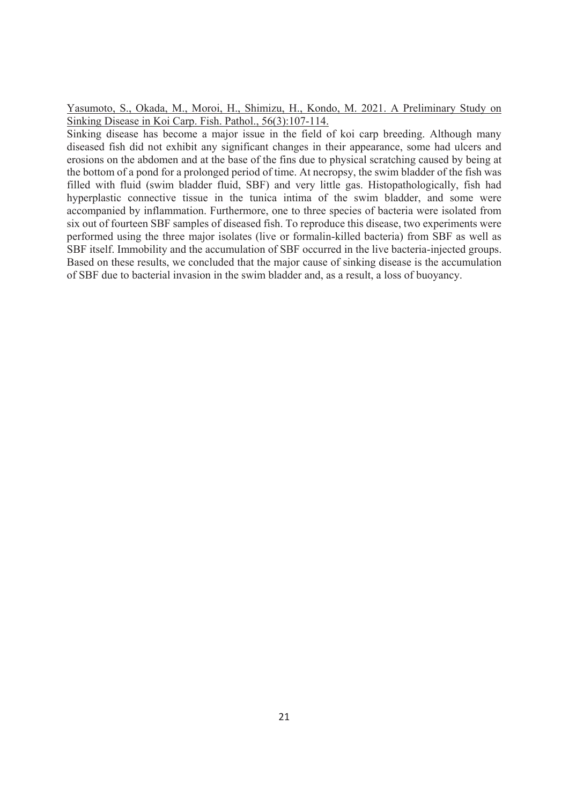Yasumoto, S., Okada, M., Moroi, H., Shimizu, H., Kondo, M. 2021. A Preliminary Study on Sinking Disease in Koi Carp. Fish. Pathol., 56(3):107-114.

Sinking disease has become a major issue in the field of koi carp breeding. Although many diseased fish did not exhibit any significant changes in their appearance, some had ulcers and erosions on the abdomen and at the base of the fins due to physical scratching caused by being at the bottom of a pond for a prolonged period of time. At necropsy, the swim bladder of the fish was filled with fluid (swim bladder fluid, SBF) and very little gas. Histopathologically, fish had hyperplastic connective tissue in the tunica intima of the swim bladder, and some were accompanied by inflammation. Furthermore, one to three species of bacteria were isolated from six out of fourteen SBF samples of diseased fish. To reproduce this disease, two experiments were performed using the three major isolates (live or formalin-killed bacteria) from SBF as well as SBF itself. Immobility and the accumulation of SBF occurred in the live bacteria-injected groups. Based on these results, we concluded that the major cause of sinking disease is the accumulation of SBF due to bacterial invasion in the swim bladder and, as a result, a loss of buoyancy.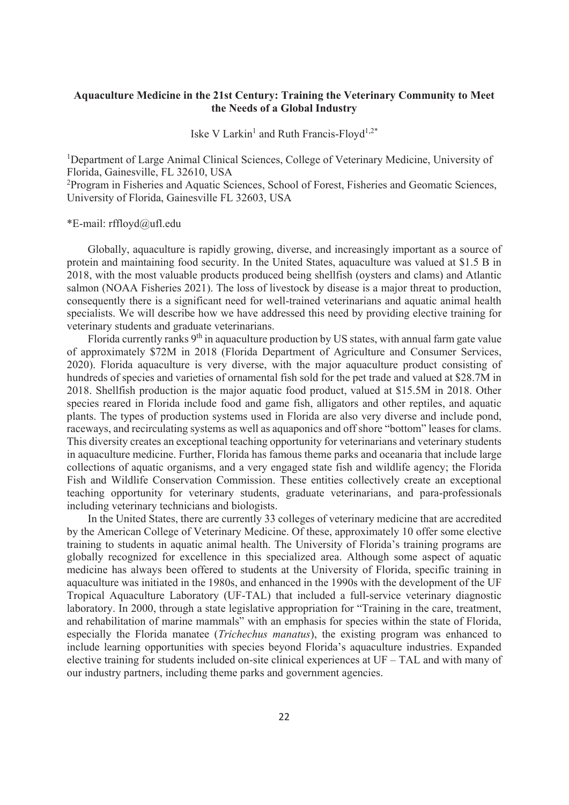## **Aquaculture Medicine in the 21st Century: Training the Veterinary Community to Meet the Needs of a Global Industry**

Iske V Larkin<sup>1</sup> and Ruth Francis-Floyd<sup>1,2\*</sup>

<sup>1</sup>Department of Large Animal Clinical Sciences, College of Veterinary Medicine, University of Florida, Gainesville, FL 32610, USA

<sup>2</sup>Program in Fisheries and Aquatic Sciences, School of Forest, Fisheries and Geomatic Sciences, University of Florida, Gainesville FL 32603, USA

#### \*E-mail: rffloyd@ufl.edu

Globally, aquaculture is rapidly growing, diverse, and increasingly important as a source of protein and maintaining food security. In the United States, aquaculture was valued at \$1.5 B in 2018, with the most valuable products produced being shellfish (oysters and clams) and Atlantic salmon (NOAA Fisheries 2021). The loss of livestock by disease is a major threat to production, consequently there is a significant need for well-trained veterinarians and aquatic animal health specialists. We will describe how we have addressed this need by providing elective training for veterinary students and graduate veterinarians.

Florida currently ranks 9<sup>th</sup> in aquaculture production by US states, with annual farm gate value of approximately \$72M in 2018 (Florida Department of Agriculture and Consumer Services, 2020). Florida aquaculture is very diverse, with the major aquaculture product consisting of hundreds of species and varieties of ornamental fish sold for the pet trade and valued at \$28.7M in 2018. Shellfish production is the major aquatic food product, valued at \$15.5M in 2018. Other species reared in Florida include food and game fish, alligators and other reptiles, and aquatic plants. The types of production systems used in Florida are also very diverse and include pond, raceways, and recirculating systems as well as aquaponics and off shore "bottom" leases for clams. This diversity creates an exceptional teaching opportunity for veterinarians and veterinary students in aquaculture medicine. Further, Florida has famous theme parks and oceanaria that include large collections of aquatic organisms, and a very engaged state fish and wildlife agency; the Florida Fish and Wildlife Conservation Commission. These entities collectively create an exceptional teaching opportunity for veterinary students, graduate veterinarians, and para-professionals including veterinary technicians and biologists.

In the United States, there are currently 33 colleges of veterinary medicine that are accredited by the American College of Veterinary Medicine. Of these, approximately 10 offer some elective training to students in aquatic animal health. The University of Florida's training programs are globally recognized for excellence in this specialized area. Although some aspect of aquatic medicine has always been offered to students at the University of Florida, specific training in aquaculture was initiated in the 1980s, and enhanced in the 1990s with the development of the UF Tropical Aquaculture Laboratory (UF-TAL) that included a full-service veterinary diagnostic laboratory. In 2000, through a state legislative appropriation for "Training in the care, treatment, and rehabilitation of marine mammals" with an emphasis for species within the state of Florida, especially the Florida manatee (*Trichechus manatus*), the existing program was enhanced to include learning opportunities with species beyond Florida's aquaculture industries. Expanded elective training for students included on-site clinical experiences at UF – TAL and with many of our industry partners, including theme parks and government agencies.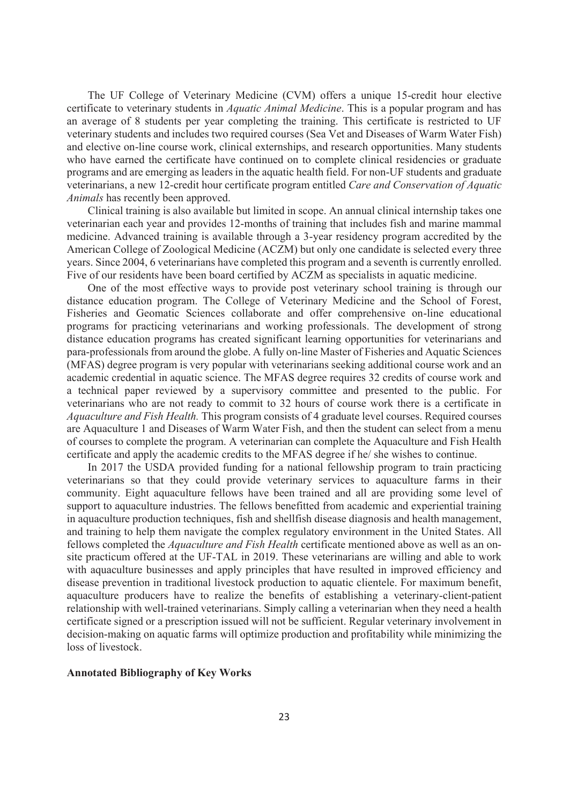The UF College of Veterinary Medicine (CVM) offers a unique 15-credit hour elective certificate to veterinary students in *Aquatic Animal Medicine*. This is a popular program and has an average of 8 students per year completing the training. This certificate is restricted to UF veterinary students and includes two required courses (Sea Vet and Diseases of Warm Water Fish) and elective on-line course work, clinical externships, and research opportunities. Many students who have earned the certificate have continued on to complete clinical residencies or graduate programs and are emerging as leaders in the aquatic health field. For non-UF students and graduate veterinarians, a new 12-credit hour certificate program entitled *Care and Conservation of Aquatic Animals* has recently been approved.

Clinical training is also available but limited in scope. An annual clinical internship takes one veterinarian each year and provides 12-months of training that includes fish and marine mammal medicine. Advanced training is available through a 3-year residency program accredited by the American College of Zoological Medicine (ACZM) but only one candidate is selected every three years. Since 2004, 6 veterinarians have completed this program and a seventh is currently enrolled. Five of our residents have been board certified by ACZM as specialists in aquatic medicine.

One of the most effective ways to provide post veterinary school training is through our distance education program. The College of Veterinary Medicine and the School of Forest, Fisheries and Geomatic Sciences collaborate and offer comprehensive on-line educational programs for practicing veterinarians and working professionals. The development of strong distance education programs has created significant learning opportunities for veterinarians and para-professionals from around the globe. A fully on-line Master of Fisheries and Aquatic Sciences (MFAS) degree program is very popular with veterinarians seeking additional course work and an academic credential in aquatic science. The MFAS degree requires 32 credits of course work and a technical paper reviewed by a supervisory committee and presented to the public. For veterinarians who are not ready to commit to 32 hours of course work there is a certificate in *Aquaculture and Fish Health.* This program consists of 4 graduate level courses. Required courses are Aquaculture 1 and Diseases of Warm Water Fish, and then the student can select from a menu of courses to complete the program. A veterinarian can complete the Aquaculture and Fish Health certificate and apply the academic credits to the MFAS degree if he/ she wishes to continue.

In 2017 the USDA provided funding for a national fellowship program to train practicing veterinarians so that they could provide veterinary services to aquaculture farms in their community. Eight aquaculture fellows have been trained and all are providing some level of support to aquaculture industries. The fellows benefitted from academic and experiential training in aquaculture production techniques, fish and shellfish disease diagnosis and health management, and training to help them navigate the complex regulatory environment in the United States. All fellows completed the *Aquaculture and Fish Health* certificate mentioned above as well as an onsite practicum offered at the UF-TAL in 2019. These veterinarians are willing and able to work with aquaculture businesses and apply principles that have resulted in improved efficiency and disease prevention in traditional livestock production to aquatic clientele. For maximum benefit, aquaculture producers have to realize the benefits of establishing a veterinary-client-patient relationship with well-trained veterinarians. Simply calling a veterinarian when they need a health certificate signed or a prescription issued will not be sufficient. Regular veterinary involvement in decision-making on aquatic farms will optimize production and profitability while minimizing the loss of livestock.

#### **Annotated Bibliography of Key Works**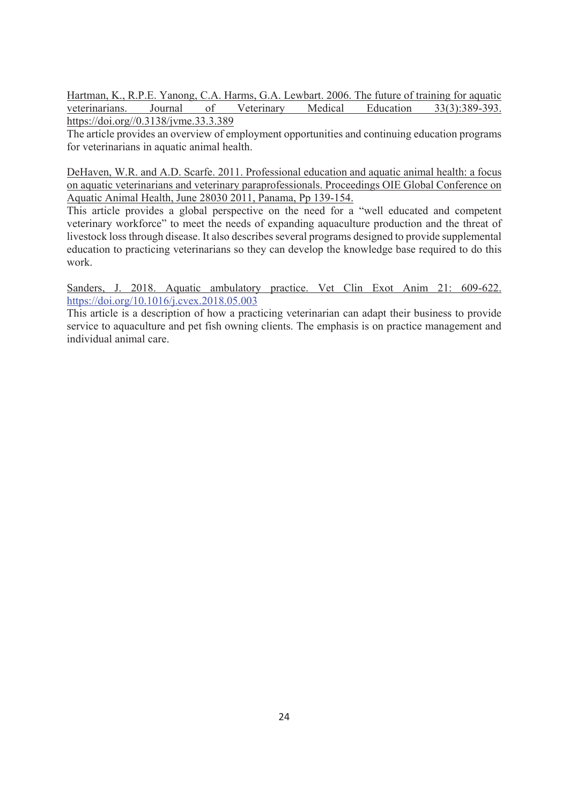Hartman, K., R.P.E. Yanong, C.A. Harms, G.A. Lewbart. 2006. The future of training for aquatic veterinarians. Journal of Veterinary Medical Education 33(3):389-393. https://doi.org//0.3138/jvme.33.3.389

The article provides an overview of employment opportunities and continuing education programs for veterinarians in aquatic animal health.

DeHaven, W.R. and A.D. Scarfe. 2011. Professional education and aquatic animal health: a focus on aquatic veterinarians and veterinary paraprofessionals. Proceedings OIE Global Conference on Aquatic Animal Health, June 28030 2011, Panama, Pp 139-154.

This article provides a global perspective on the need for a "well educated and competent veterinary workforce" to meet the needs of expanding aquaculture production and the threat of livestock loss through disease. It also describes several programs designed to provide supplemental education to practicing veterinarians so they can develop the knowledge base required to do this work.

Sanders, J. 2018. Aquatic ambulatory practice. Vet Clin Exot Anim 21: 609-622. https://doi.org/10.1016/j.cvex.2018.05.003

This article is a description of how a practicing veterinarian can adapt their business to provide service to aquaculture and pet fish owning clients. The emphasis is on practice management and individual animal care.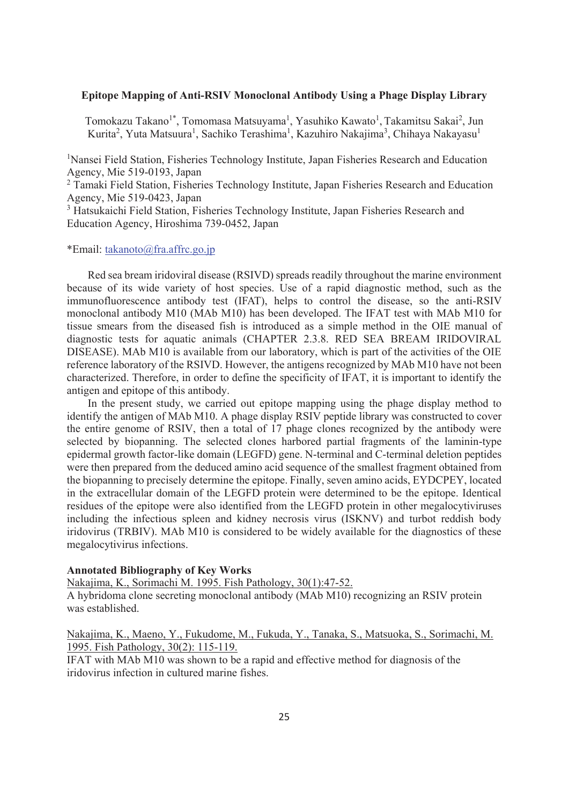## **Epitope Mapping of Anti-RSIV Monoclonal Antibody Using a Phage Display Library**

Tomokazu Takano<sup>1\*</sup>, Tomomasa Matsuyama<sup>1</sup>, Yasuhiko Kawato<sup>1</sup>, Takamitsu Sakai<sup>2</sup>, Jun Kurita<sup>2</sup>, Yuta Matsuura<sup>1</sup>, Sachiko Terashima<sup>1</sup>, Kazuhiro Nakajima<sup>3</sup>, Chihaya Nakayasu<sup>1</sup>

<sup>1</sup>Nansei Field Station, Fisheries Technology Institute, Japan Fisheries Research and Education Agency, Mie 519-0193, Japan

<sup>2</sup> Tamaki Field Station, Fisheries Technology Institute, Japan Fisheries Research and Education Agency, Mie 519-0423, Japan

<sup>3</sup> Hatsukaichi Field Station, Fisheries Technology Institute, Japan Fisheries Research and Education Agency, Hiroshima 739-0452, Japan

### \*Email: takanoto@fra.affrc.go.jp

Red sea bream iridoviral disease (RSIVD) spreads readily throughout the marine environment because of its wide variety of host species. Use of a rapid diagnostic method, such as the immunofluorescence antibody test (IFAT), helps to control the disease, so the anti-RSIV monoclonal antibody M10 (MAb M10) has been developed. The IFAT test with MAb M10 for tissue smears from the diseased fish is introduced as a simple method in the OIE manual of diagnostic tests for aquatic animals (CHAPTER 2.3.8. RED SEA BREAM IRIDOVIRAL DISEASE). MAb M10 is available from our laboratory, which is part of the activities of the OIE reference laboratory of the RSIVD. However, the antigens recognized by MAb M10 have not been characterized. Therefore, in order to define the specificity of IFAT, it is important to identify the antigen and epitope of this antibody.

In the present study, we carried out epitope mapping using the phage display method to identify the antigen of MAb M10. A phage display RSIV peptide library was constructed to cover the entire genome of RSIV, then a total of 17 phage clones recognized by the antibody were selected by biopanning. The selected clones harbored partial fragments of the laminin-type epidermal growth factor-like domain (LEGFD) gene. N-terminal and C-terminal deletion peptides were then prepared from the deduced amino acid sequence of the smallest fragment obtained from the biopanning to precisely determine the epitope. Finally, seven amino acids, EYDCPEY, located in the extracellular domain of the LEGFD protein were determined to be the epitope. Identical residues of the epitope were also identified from the LEGFD protein in other megalocytiviruses including the infectious spleen and kidney necrosis virus (ISKNV) and turbot reddish body iridovirus (TRBIV). MAb M10 is considered to be widely available for the diagnostics of these megalocytivirus infections.

## **Annotated Bibliography of Key Works**

Nakajima, K., Sorimachi M. 1995. Fish Pathology, 30(1):47-52. A hybridoma clone secreting monoclonal antibody (MAb M10) recognizing an RSIV protein was established.

## Nakajima, K., Maeno, Y., Fukudome, M., Fukuda, Y., Tanaka, S., Matsuoka, S., Sorimachi, M. 1995. Fish Pathology, 30(2): 115-119.

IFAT with MAb M10 was shown to be a rapid and effective method for diagnosis of the iridovirus infection in cultured marine fishes.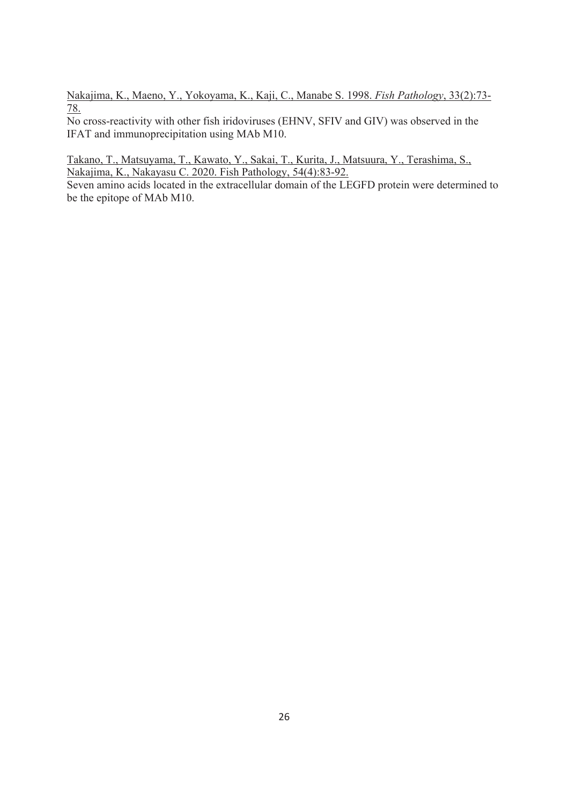Nakajima, K., Maeno, Y., Yokoyama, K., Kaji, C., Manabe S. 1998. *Fish Pathology*, 33(2):73- 78.

No cross-reactivity with other fish iridoviruses (EHNV, SFIV and GIV) was observed in the IFAT and immunoprecipitation using MAb M10.

Takano, T., Matsuyama, T., Kawato, Y., Sakai, T., Kurita, J., Matsuura, Y., Terashima, S., Nakajima, K., Nakayasu C. 2020. Fish Pathology, 54(4):83-92.

Seven amino acids located in the extracellular domain of the LEGFD protein were determined to be the epitope of MAb M10.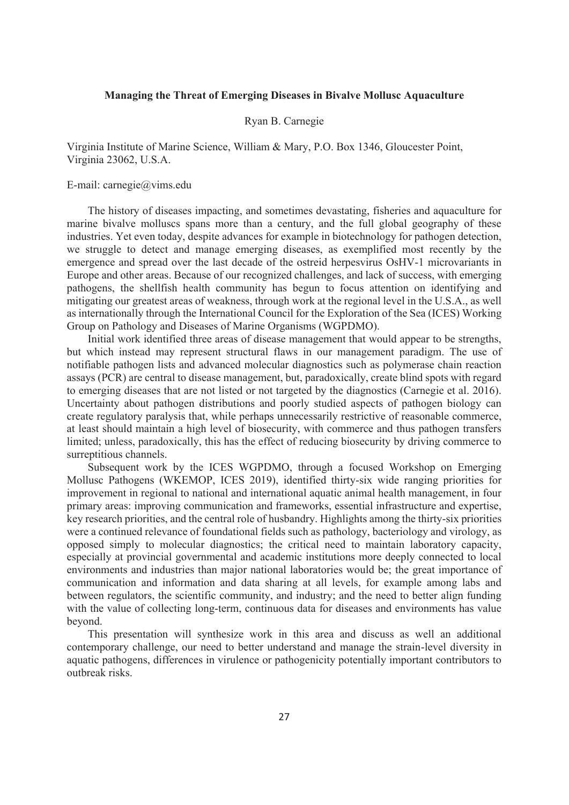## **Managing the Threat of Emerging Diseases in Bivalve Mollusc Aquaculture**

#### Ryan B. Carnegie

Virginia Institute of Marine Science, William & Mary, P.O. Box 1346, Gloucester Point, Virginia 23062, U.S.A.

#### E-mail: carnegie@vims.edu

The history of diseases impacting, and sometimes devastating, fisheries and aquaculture for marine bivalve molluscs spans more than a century, and the full global geography of these industries. Yet even today, despite advances for example in biotechnology for pathogen detection, we struggle to detect and manage emerging diseases, as exemplified most recently by the emergence and spread over the last decade of the ostreid herpesvirus OsHV-1 microvariants in Europe and other areas. Because of our recognized challenges, and lack of success, with emerging pathogens, the shellfish health community has begun to focus attention on identifying and mitigating our greatest areas of weakness, through work at the regional level in the U.S.A., as well as internationally through the International Council for the Exploration of the Sea (ICES) Working Group on Pathology and Diseases of Marine Organisms (WGPDMO).

Initial work identified three areas of disease management that would appear to be strengths, but which instead may represent structural flaws in our management paradigm. The use of notifiable pathogen lists and advanced molecular diagnostics such as polymerase chain reaction assays (PCR) are central to disease management, but, paradoxically, create blind spots with regard to emerging diseases that are not listed or not targeted by the diagnostics (Carnegie et al. 2016). Uncertainty about pathogen distributions and poorly studied aspects of pathogen biology can create regulatory paralysis that, while perhaps unnecessarily restrictive of reasonable commerce, at least should maintain a high level of biosecurity, with commerce and thus pathogen transfers limited; unless, paradoxically, this has the effect of reducing biosecurity by driving commerce to surreptitious channels.

Subsequent work by the ICES WGPDMO, through a focused Workshop on Emerging Mollusc Pathogens (WKEMOP, ICES 2019), identified thirty-six wide ranging priorities for improvement in regional to national and international aquatic animal health management, in four primary areas: improving communication and frameworks, essential infrastructure and expertise, key research priorities, and the central role of husbandry. Highlights among the thirty-six priorities were a continued relevance of foundational fields such as pathology, bacteriology and virology, as opposed simply to molecular diagnostics; the critical need to maintain laboratory capacity, especially at provincial governmental and academic institutions more deeply connected to local environments and industries than major national laboratories would be; the great importance of communication and information and data sharing at all levels, for example among labs and between regulators, the scientific community, and industry; and the need to better align funding with the value of collecting long-term, continuous data for diseases and environments has value beyond.

This presentation will synthesize work in this area and discuss as well an additional contemporary challenge, our need to better understand and manage the strain-level diversity in aquatic pathogens, differences in virulence or pathogenicity potentially important contributors to outbreak risks.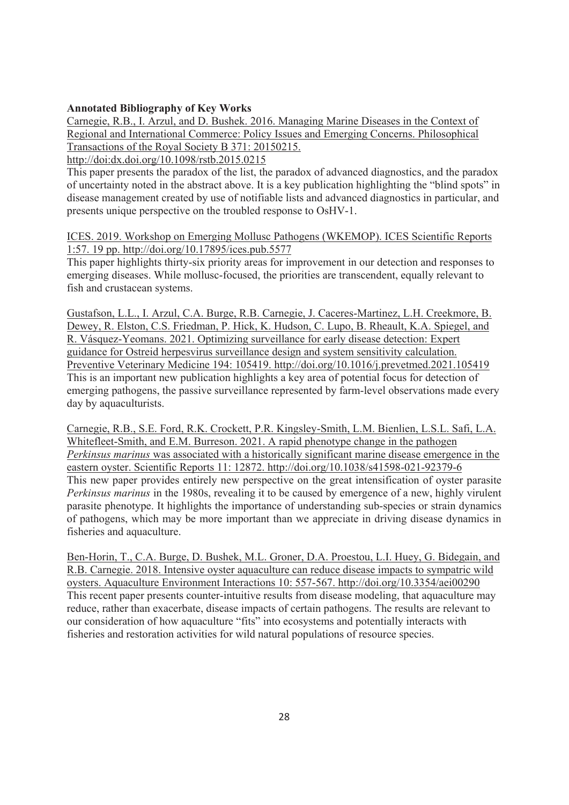## **Annotated Bibliography of Key Works**

Carnegie, R.B., I. Arzul, and D. Bushek. 2016. Managing Marine Diseases in the Context of Regional and International Commerce: Policy Issues and Emerging Concerns. Philosophical Transactions of the Royal Society B 371: 20150215.

http://doi:dx.doi.org/10.1098/rstb.2015.0215

This paper presents the paradox of the list, the paradox of advanced diagnostics, and the paradox of uncertainty noted in the abstract above. It is a key publication highlighting the "blind spots" in disease management created by use of notifiable lists and advanced diagnostics in particular, and presents unique perspective on the troubled response to OsHV-1.

ICES. 2019. Workshop on Emerging Mollusc Pathogens (WKEMOP). ICES Scientific Reports 1:57. 19 pp. http://doi.org/10.17895/ices.pub.5577

This paper highlights thirty-six priority areas for improvement in our detection and responses to emerging diseases. While mollusc-focused, the priorities are transcendent, equally relevant to fish and crustacean systems.

Gustafson, L.L., I. Arzul, C.A. Burge, R.B. Carnegie, J. Caceres-Martinez, L.H. Creekmore, B. Dewey, R. Elston, C.S. Friedman, P. Hick, K. Hudson, C. Lupo, B. Rheault, K.A. Spiegel, and R. Vásquez-Yeomans. 2021. Optimizing surveillance for early disease detection: Expert guidance for Ostreid herpesvirus surveillance design and system sensitivity calculation. Preventive Veterinary Medicine 194: 105419. http://doi.org/10.1016/j.prevetmed.2021.105419 This is an important new publication highlights a key area of potential focus for detection of emerging pathogens, the passive surveillance represented by farm-level observations made every day by aquaculturists.

Carnegie, R.B., S.E. Ford, R.K. Crockett, P.R. Kingsley-Smith, L.M. Bienlien, L.S.L. Safi, L.A. Whitefleet-Smith, and E.M. Burreson. 2021. A rapid phenotype change in the pathogen *Perkinsus marinus* was associated with a historically significant marine disease emergence in the eastern oyster. Scientific Reports 11: 12872. http://doi.org/10.1038/s41598-021-92379-6 This new paper provides entirely new perspective on the great intensification of oyster parasite *Perkinsus marinus* in the 1980s, revealing it to be caused by emergence of a new, highly virulent parasite phenotype. It highlights the importance of understanding sub-species or strain dynamics of pathogens, which may be more important than we appreciate in driving disease dynamics in fisheries and aquaculture.

Ben-Horin, T., C.A. Burge, D. Bushek, M.L. Groner, D.A. Proestou, L.I. Huey, G. Bidegain, and R.B. Carnegie. 2018. Intensive oyster aquaculture can reduce disease impacts to sympatric wild oysters. Aquaculture Environment Interactions 10: 557-567. http://doi.org/10.3354/aei00290 This recent paper presents counter-intuitive results from disease modeling, that aquaculture may reduce, rather than exacerbate, disease impacts of certain pathogens. The results are relevant to our consideration of how aquaculture "fits" into ecosystems and potentially interacts with fisheries and restoration activities for wild natural populations of resource species.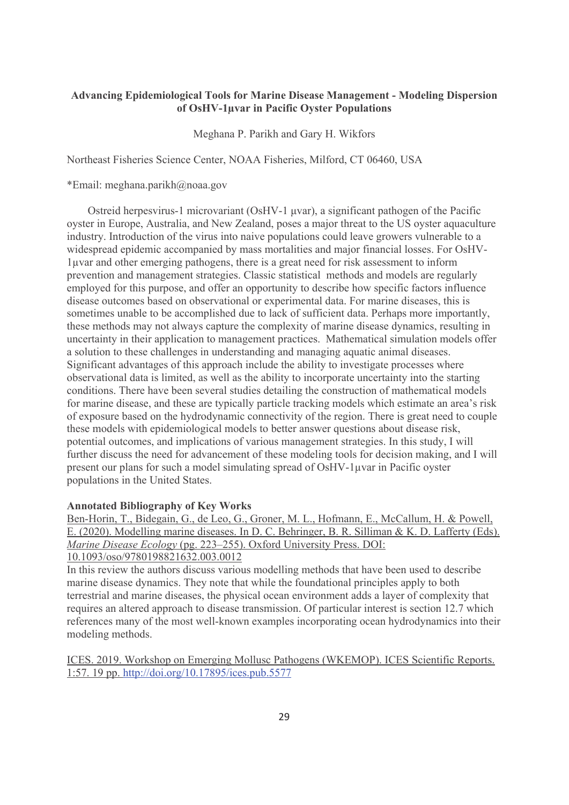## **Advancing Epidemiological Tools for Marine Disease Management - Modeling Dispersion of OsHV-1μvar in Pacific Oyster Populations**

Meghana P. Parikh and Gary H. Wikfors

Northeast Fisheries Science Center, NOAA Fisheries, Milford, CT 06460, USA

\*Email: meghana.parikh@noaa.gov

Ostreid herpesvirus-1 microvariant (OsHV-1 μvar), a significant pathogen of the Pacific oyster in Europe, Australia, and New Zealand, poses a major threat to the US oyster aquaculture industry. Introduction of the virus into naive populations could leave growers vulnerable to a widespread epidemic accompanied by mass mortalities and major financial losses. For OsHV-1μvar and other emerging pathogens, there is a great need for risk assessment to inform prevention and management strategies. Classic statistical methods and models are regularly employed for this purpose, and offer an opportunity to describe how specific factors influence disease outcomes based on observational or experimental data. For marine diseases, this is sometimes unable to be accomplished due to lack of sufficient data. Perhaps more importantly, these methods may not always capture the complexity of marine disease dynamics, resulting in uncertainty in their application to management practices. Mathematical simulation models offer a solution to these challenges in understanding and managing aquatic animal diseases. Significant advantages of this approach include the ability to investigate processes where observational data is limited, as well as the ability to incorporate uncertainty into the starting conditions. There have been several studies detailing the construction of mathematical models for marine disease, and these are typically particle tracking models which estimate an area's risk of exposure based on the hydrodynamic connectivity of the region. There is great need to couple these models with epidemiological models to better answer questions about disease risk, potential outcomes, and implications of various management strategies. In this study, I will further discuss the need for advancement of these modeling tools for decision making, and I will present our plans for such a model simulating spread of OsHV-1μvar in Pacific oyster populations in the United States.

#### **Annotated Bibliography of Key Works**

Ben-Horin, T., Bidegain, G., de Leo, G., Groner, M. L., Hofmann, E., McCallum, H. & Powell, E. (2020). Modelling marine diseases. In D. C. Behringer, B. R. Silliman & K. D. Lafferty (Eds). *Marine Disease Ecology* (pg. 223–255). Oxford University Press. DOI:

## 10.1093/oso/9780198821632.003.0012

In this review the authors discuss various modelling methods that have been used to describe marine disease dynamics. They note that while the foundational principles apply to both terrestrial and marine diseases, the physical ocean environment adds a layer of complexity that requires an altered approach to disease transmission. Of particular interest is section 12.7 which references many of the most well-known examples incorporating ocean hydrodynamics into their modeling methods.

ICES. 2019. Workshop on Emerging Mollusc Pathogens (WKEMOP). ICES Scientific Reports. 1:57. 19 pp. http://doi.org/10.17895/ices.pub.5577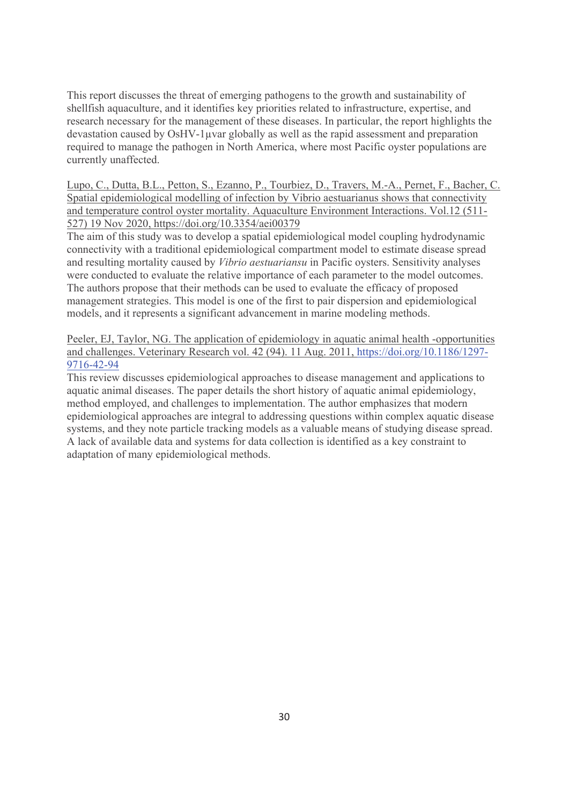This report discusses the threat of emerging pathogens to the growth and sustainability of shellfish aquaculture, and it identifies key priorities related to infrastructure, expertise, and research necessary for the management of these diseases. In particular, the report highlights the devastation caused by OsHV-1μvar globally as well as the rapid assessment and preparation required to manage the pathogen in North America, where most Pacific oyster populations are currently unaffected.

Lupo, C., Dutta, B.L., Petton, S., Ezanno, P., Tourbiez, D., Travers, M.-A., Pernet, F., Bacher, C. Spatial epidemiological modelling of infection by Vibrio aestuarianus shows that connectivity and temperature control oyster mortality. Aquaculture Environment Interactions. Vol.12 (511- 527) 19 Nov 2020, https://doi.org/10.3354/aei00379

The aim of this study was to develop a spatial epidemiological model coupling hydrodynamic connectivity with a traditional epidemiological compartment model to estimate disease spread and resulting mortality caused by *Vibrio aestuariansu* in Pacific oysters. Sensitivity analyses were conducted to evaluate the relative importance of each parameter to the model outcomes. The authors propose that their methods can be used to evaluate the efficacy of proposed management strategies. This model is one of the first to pair dispersion and epidemiological models, and it represents a significant advancement in marine modeling methods.

Peeler, EJ, Taylor, NG. The application of epidemiology in aquatic animal health -opportunities and challenges. Veterinary Research vol. 42 (94). 11 Aug. 2011, https://doi.org/10.1186/1297- 9716-42-94

This review discusses epidemiological approaches to disease management and applications to aquatic animal diseases. The paper details the short history of aquatic animal epidemiology, method employed, and challenges to implementation. The author emphasizes that modern epidemiological approaches are integral to addressing questions within complex aquatic disease systems, and they note particle tracking models as a valuable means of studying disease spread. A lack of available data and systems for data collection is identified as a key constraint to adaptation of many epidemiological methods.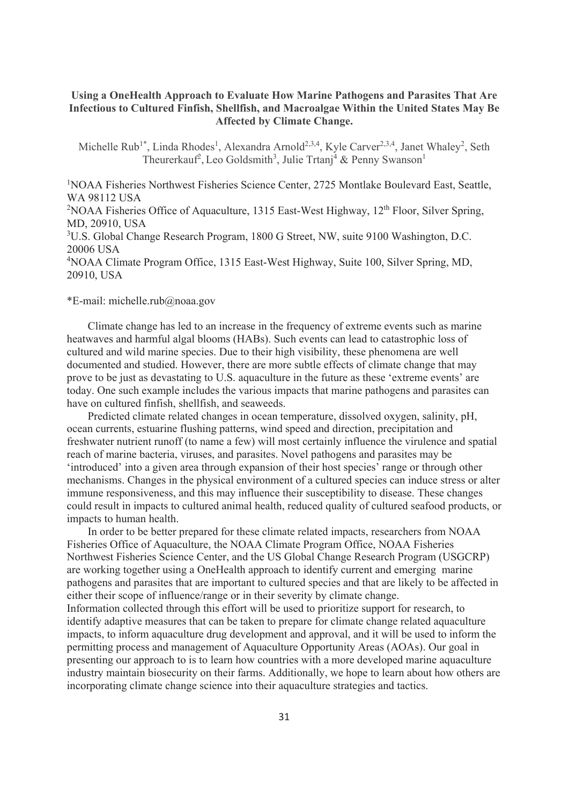## **Using a OneHealth Approach to Evaluate How Marine Pathogens and Parasites That Are Infectious to Cultured Finfish, Shellfish, and Macroalgae Within the United States May Be Affected by Climate Change.**

Michelle Rub<sup>1\*</sup>, Linda Rhodes<sup>1</sup>, Alexandra Arnold<sup>2,3,4</sup>, Kyle Carver<sup>2,3,4</sup>, Janet Whaley<sup>2</sup>, Seth Theurerkauf<sup>2</sup>, Leo Goldsmith<sup>3</sup>, Julie Trtanj<sup>4</sup> & Penny Swanson<sup>1</sup>

<sup>1</sup>NOAA Fisheries Northwest Fisheries Science Center, 2725 Montlake Boulevard East, Seattle, WA 98112 USA

<sup>2</sup>NOAA Fisheries Office of Aquaculture, 1315 East-West Highway,  $12<sup>th</sup>$  Floor, Silver Spring, MD, 20910, USA

<sup>3</sup>U.S. Global Change Research Program, 1800 G Street, NW, suite 9100 Washington, D.C. 20006 USA

4 NOAA Climate Program Office, 1315 East-West Highway, Suite 100, Silver Spring, MD, 20910, USA

### \*E-mail: michelle.rub@noaa.gov

Climate change has led to an increase in the frequency of extreme events such as marine heatwaves and harmful algal blooms (HABs). Such events can lead to catastrophic loss of cultured and wild marine species. Due to their high visibility, these phenomena are well documented and studied. However, there are more subtle effects of climate change that may prove to be just as devastating to U.S. aquaculture in the future as these 'extreme events' are today. One such example includes the various impacts that marine pathogens and parasites can have on cultured finfish, shellfish, and seaweeds.

Predicted climate related changes in ocean temperature, dissolved oxygen, salinity, pH, ocean currents, estuarine flushing patterns, wind speed and direction, precipitation and freshwater nutrient runoff (to name a few) will most certainly influence the virulence and spatial reach of marine bacteria, viruses, and parasites. Novel pathogens and parasites may be 'introduced' into a given area through expansion of their host species' range or through other mechanisms. Changes in the physical environment of a cultured species can induce stress or alter immune responsiveness, and this may influence their susceptibility to disease. These changes could result in impacts to cultured animal health, reduced quality of cultured seafood products, or impacts to human health.

In order to be better prepared for these climate related impacts, researchers from NOAA Fisheries Office of Aquaculture, the NOAA Climate Program Office, NOAA Fisheries Northwest Fisheries Science Center, and the US Global Change Research Program (USGCRP) are working together using a OneHealth approach to identify current and emerging marine pathogens and parasites that are important to cultured species and that are likely to be affected in either their scope of influence/range or in their severity by climate change. Information collected through this effort will be used to prioritize support for research, to identify adaptive measures that can be taken to prepare for climate change related aquaculture impacts, to inform aquaculture drug development and approval, and it will be used to inform the permitting process and management of Aquaculture Opportunity Areas (AOAs). Our goal in

presenting our approach to is to learn how countries with a more developed marine aquaculture industry maintain biosecurity on their farms. Additionally, we hope to learn about how others are incorporating climate change science into their aquaculture strategies and tactics.